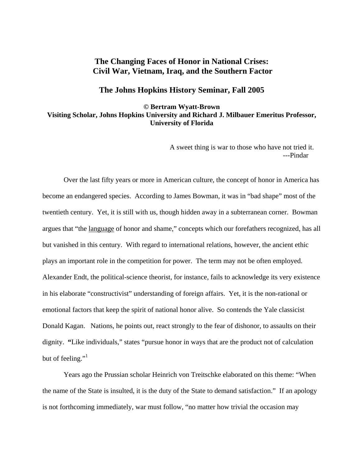## **The Changing Faces of Honor in National Crises: Civil War, Vietnam, Iraq, and the Southern Factor**

## **The Johns Hopkins History Seminar, Fall 2005**

## **© Bertram Wyatt-Brown Visiting Scholar, Johns Hopkins University and Richard J. Milbauer Emeritus Professor, University of Florida**

 A sweet thing is war to those who have not tried it. ---Pindar

 Over the last fifty years or more in American culture, the concept of honor in America has become an endangered species. According to James Bowman, it was in "bad shape" most of the twentieth century. Yet, it is still with us, though hidden away in a subterranean corner. Bowman argues that "the language of honor and shame," concepts which our forefathers recognized, has all but vanished in this century. With regard to international relations, however, the ancient ethic plays an important role in the competition for power. The term may not be often employed. Alexander Endt, the political-science theorist, for instance, fails to acknowledge its very existence in his elaborate "constructivist" understanding of foreign affairs. Yet, it is the non-rational or emotional factors that keep the spirit of national honor alive. So contends the Yale classicist Donald Kagan. Nations, he points out, react strongly to the fear of dishonor, to assaults on their dignity. **"**Like individuals," states "pursue honor in ways that are the product not of calculation but of feeling." $\cdot$ <sup>1</sup>

 Years ago the Prussian scholar Heinrich von Treitschke elaborated on this theme: "When the name of the State is insulted, it is the duty of the State to demand satisfaction." If an apology is not forthcoming immediately, war must follow, "no matter how trivial the occasion may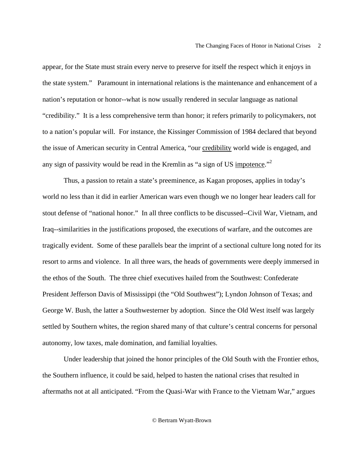appear, for the State must strain every nerve to preserve for itself the respect which it enjoys in the state system." Paramount in international relations is the maintenance and enhancement of a nation's reputation or honor--what is now usually rendered in secular language as national "credibility." It is a less comprehensive term than honor; it refers primarily to policymakers, not to a nation's popular will. For instance, the Kissinger Commission of 1984 declared that beyond the issue of American security in Central America, "our credibility world wide is engaged, and any sign of passivity would be read in the Kremlin as "a sign of US impotence."<sup>2</sup>

 Thus, a passion to retain a state's preeminence, as Kagan proposes, applies in today's world no less than it did in earlier American wars even though we no longer hear leaders call for stout defense of "national honor." In all three conflicts to be discussed--Civil War, Vietnam, and Iraq--similarities in the justifications proposed, the executions of warfare, and the outcomes are tragically evident. Some of these parallels bear the imprint of a sectional culture long noted for its resort to arms and violence. In all three wars, the heads of governments were deeply immersed in the ethos of the South. The three chief executives hailed from the Southwest: Confederate President Jefferson Davis of Mississippi (the "Old Southwest"); Lyndon Johnson of Texas; and George W. Bush, the latter a Southwesterner by adoption. Since the Old West itself was largely settled by Southern whites, the region shared many of that culture's central concerns for personal autonomy, low taxes, male domination, and familial loyalties.

 Under leadership that joined the honor principles of the Old South with the Frontier ethos, the Southern influence, it could be said, helped to hasten the national crises that resulted in aftermaths not at all anticipated. "From the Quasi-War with France to the Vietnam War," argues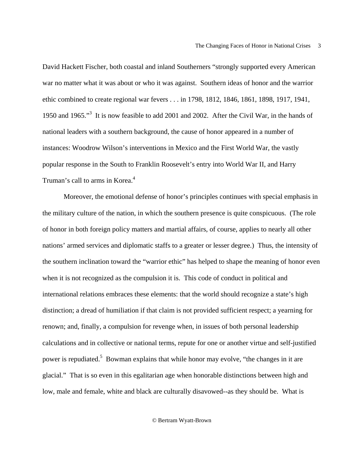David Hackett Fischer, both coastal and inland Southerners "strongly supported every American war no matter what it was about or who it was against. Southern ideas of honor and the warrior ethic combined to create regional war fevers . . . in 1798, 1812, 1846, 1861, 1898, 1917, 1941, 1950 and 1965."<sup>3</sup> It is now feasible to add 2001 and 2002. After the Civil War, in the hands of national leaders with a southern background, the cause of honor appeared in a number of instances: Woodrow Wilson's interventions in Mexico and the First World War, the vastly popular response in the South to Franklin Roosevelt's entry into World War II, and Harry Truman's call to arms in Korea.<sup>4</sup>

 Moreover, the emotional defense of honor's principles continues with special emphasis in the military culture of the nation, in which the southern presence is quite conspicuous. (The role of honor in both foreign policy matters and martial affairs, of course, applies to nearly all other nations' armed services and diplomatic staffs to a greater or lesser degree.) Thus, the intensity of the southern inclination toward the "warrior ethic" has helped to shape the meaning of honor even when it is not recognized as the compulsion it is. This code of conduct in political and international relations embraces these elements: that the world should recognize a state's high distinction; a dread of humiliation if that claim is not provided sufficient respect; a yearning for renown; and, finally, a compulsion for revenge when, in issues of both personal leadership calculations and in collective or national terms, repute for one or another virtue and self-justified power is repudiated.<sup>5</sup> Bowman explains that while honor may evolve, "the changes in it are glacial." That is so even in this egalitarian age when honorable distinctions between high and low, male and female, white and black are culturally disavowed--as they should be. What is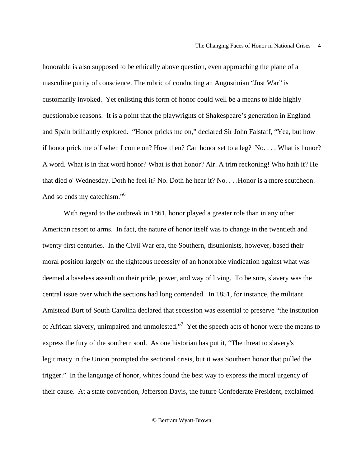honorable is also supposed to be ethically above question, even approaching the plane of a masculine purity of conscience. The rubric of conducting an Augustinian "Just War" is customarily invoked. Yet enlisting this form of honor could well be a means to hide highly questionable reasons. It is a point that the playwrights of Shakespeare's generation in England and Spain brilliantly explored. "Honor pricks me on," declared Sir John Falstaff, "Yea, but how if honor prick me off when I come on? How then? Can honor set to a leg? No. . . . What is honor? A word. What is in that word honor? What is that honor? Air. A trim reckoning! Who hath it? He that died o' Wednesday. Doth he feel it? No. Doth he hear it? No. . . .Honor is a mere scutcheon. And so ends my catechism."<sup>6</sup>

 With regard to the outbreak in 1861, honor played a greater role than in any other American resort to arms. In fact, the nature of honor itself was to change in the twentieth and twenty-first centuries. In the Civil War era, the Southern, disunionists, however, based their moral position largely on the righteous necessity of an honorable vindication against what was deemed a baseless assault on their pride, power, and way of living. To be sure, slavery was the central issue over which the sections had long contended. In 1851, for instance, the militant Amistead Burt of South Carolina declared that secession was essential to preserve "the institution of African slavery, unimpaired and unmolested. $\cdot$ <sup>7</sup> Yet the speech acts of honor were the means to express the fury of the southern soul. As one historian has put it, "The threat to slavery's legitimacy in the Union prompted the sectional crisis, but it was Southern honor that pulled the trigger." In the language of honor, whites found the best way to express the moral urgency of their cause. At a state convention, Jefferson Davis, the future Confederate President, exclaimed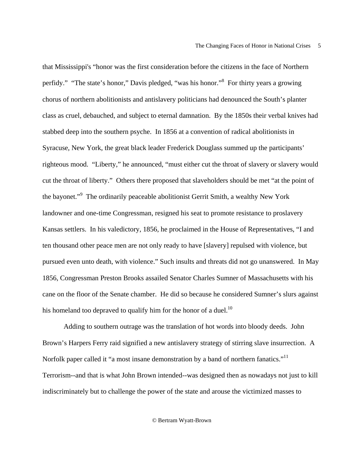that Mississippi's "honor was the first consideration before the citizens in the face of Northern perfidy." "The state's honor," Davis pledged, "was his honor."<sup>8</sup> For thirty years a growing chorus of northern abolitionists and antislavery politicians had denounced the South's planter class as cruel, debauched, and subject to eternal damnation. By the 1850s their verbal knives had stabbed deep into the southern psyche. In 1856 at a convention of radical abolitionists in Syracuse, New York, the great black leader Frederick Douglass summed up the participants' righteous mood. "Liberty," he announced, "must either cut the throat of slavery or slavery would cut the throat of liberty." Others there proposed that slaveholders should be met "at the point of the bayonet."<sup>9</sup> The ordinarily peaceable abolitionist Gerrit Smith, a wealthy New York landowner and one-time Congressman, resigned his seat to promote resistance to proslavery Kansas settlers. In his valedictory, 1856, he proclaimed in the House of Representatives, "I and ten thousand other peace men are not only ready to have [slavery] repulsed with violence, but pursued even unto death, with violence." Such insults and threats did not go unanswered. In May 1856, Congressman Preston Brooks assailed Senator Charles Sumner of Massachusetts with his cane on the floor of the Senate chamber. He did so because he considered Sumner's slurs against his homeland too depraved to qualify him for the honor of a duel.<sup>10</sup>

 Adding to southern outrage was the translation of hot words into bloody deeds. John Brown's Harpers Ferry raid signified a new antislavery strategy of stirring slave insurrection. A Norfolk paper called it "a most insane demonstration by a band of northern fanatics."<sup>11</sup> Terrorism--and that is what John Brown intended--was designed then as nowadays not just to kill indiscriminately but to challenge the power of the state and arouse the victimized masses to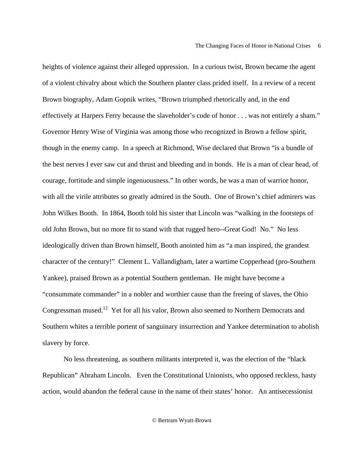heights of violence against their alleged oppression. In a curious twist, Brown became the agent of a violent chivalry about which the Southern planter class prided itself. In a review of a recent Brown biography, Adam Gopnik writes, "Brown triumphed rhetorically and, in the end effectively at Harpers Ferry because the slaveholder's code of honor . . . was not entirely a sham." Governor Henry Wise of Virginia was among those who recognized in Brown a fellow spirit, though in the enemy camp. In a speech at Richmond, Wise declared that Brown "is a bundle of the best nerves I ever saw cut and thrust and bleeding and in bonds. He is a man of clear head, of courage, fortitude and simple ingenuousness." In other words, he was a man of warrior honor, with all the virile attributes so greatly admired in the South. One of Brown's chief admirers was John Wilkes Booth. In 1864, Booth told his sister that Lincoln was "walking in the footsteps of old John Brown, but no more fit to stand with that rugged hero--Great God! No." No less ideologically driven than Brown himself, Booth anointed him as "a man inspired, the grandest character of the century!" Clement L. Vallandigham, later a wartime Copperhead (pro-Southern Yankee), praised Brown as a potential Southern gentleman. He might have become a "consummate commander" in a nobler and worthier cause than the freeing of slaves, the Ohio Congressman mused.12 Yet for all his valor, Brown also seemed to Northern Democrats and Southern whites a terrible portent of sanguinary insurrection and Yankee determination to abolish slavery by force.

 No less threatening, as southern militants interpreted it, was the election of the "black Republican" Abraham Lincoln. Even the Constitutional Unionists, who opposed reckless, hasty action, would abandon the federal cause in the name of their states' honor. An antisecessionist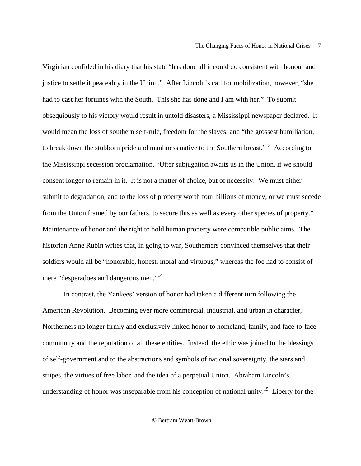Virginian confided in his diary that his state "has done all it could do consistent with honour and justice to settle it peaceably in the Union." After Lincoln's call for mobilization, however, "she had to cast her fortunes with the South. This she has done and I am with her." To submit obsequiously to his victory would result in untold disasters, a Mississippi newspaper declared. It would mean the loss of southern self-rule, freedom for the slaves, and "the grossest humiliation, to break down the stubborn pride and manliness native to the Southern breast."13 According to the Mississippi secession proclamation, "Utter subjugation awaits us in the Union, if we should consent longer to remain in it. It is not a matter of choice, but of necessity. We must either submit to degradation, and to the loss of property worth four billions of money, or we must secede from the Union framed by our fathers, to secure this as well as every other species of property." Maintenance of honor and the right to hold human property were compatible public aims. The historian Anne Rubin writes that, in going to war, Southerners convinced themselves that their soldiers would all be "honorable, honest, moral and virtuous," whereas the foe had to consist of mere "desperadoes and dangerous men."<sup>14</sup>

 In contrast, the Yankees' version of honor had taken a different turn following the American Revolution. Becoming ever more commercial, industrial, and urban in character, Northerners no longer firmly and exclusively linked honor to homeland, family, and face-to-face community and the reputation of all these entities. Instead, the ethic was joined to the blessings of self-government and to the abstractions and symbols of national sovereignty, the stars and stripes, the virtues of free labor, and the idea of a perpetual Union. Abraham Lincoln's understanding of honor was inseparable from his conception of national unity.<sup>15</sup> Liberty for the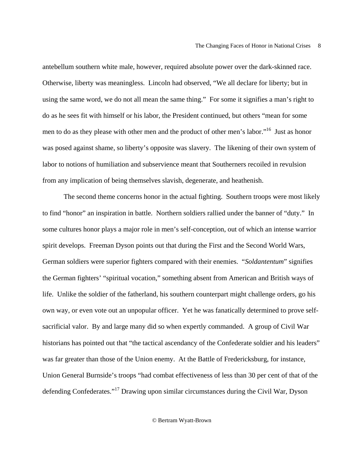antebellum southern white male, however, required absolute power over the dark-skinned race. Otherwise, liberty was meaningless. Lincoln had observed, "We all declare for liberty; but in using the same word, we do not all mean the same thing." For some it signifies a man's right to do as he sees fit with himself or his labor, the President continued, but others "mean for some men to do as they please with other men and the product of other men's labor."<sup>16</sup> Just as honor was posed against shame, so liberty's opposite was slavery. The likening of their own system of labor to notions of humiliation and subservience meant that Southerners recoiled in revulsion from any implication of being themselves slavish, degenerate, and heathenish.

 The second theme concerns honor in the actual fighting. Southern troops were most likely to find "honor" an inspiration in battle. Northern soldiers rallied under the banner of "duty." In some cultures honor plays a major role in men's self-conception, out of which an intense warrior spirit develops. Freeman Dyson points out that during the First and the Second World Wars, German soldiers were superior fighters compared with their enemies. "*Soldantentum*" signifies the German fighters' "spiritual vocation," something absent from American and British ways of life. Unlike the soldier of the fatherland, his southern counterpart might challenge orders, go his own way, or even vote out an unpopular officer. Yet he was fanatically determined to prove selfsacrificial valor. By and large many did so when expertly commanded. A group of Civil War historians has pointed out that "the tactical ascendancy of the Confederate soldier and his leaders" was far greater than those of the Union enemy. At the Battle of Fredericksburg, for instance, Union General Burnside's troops "had combat effectiveness of less than 30 per cent of that of the defending Confederates."17 Drawing upon similar circumstances during the Civil War, Dyson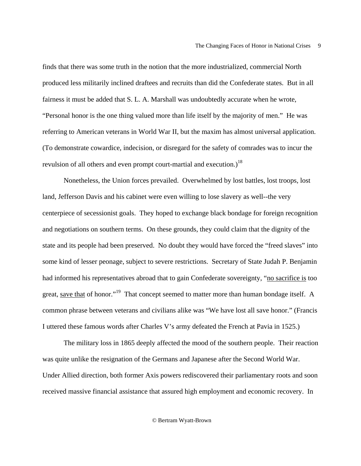finds that there was some truth in the notion that the more industrialized, commercial North produced less militarily inclined draftees and recruits than did the Confederate states. But in all fairness it must be added that S. L. A. Marshall was undoubtedly accurate when he wrote, "Personal honor is the one thing valued more than life itself by the majority of men." He was referring to American veterans in World War II, but the maxim has almost universal application. (To demonstrate cowardice, indecision, or disregard for the safety of comrades was to incur the revulsion of all others and even prompt court-martial and execution.)<sup>18</sup>

 Nonetheless, the Union forces prevailed. Overwhelmed by lost battles, lost troops, lost land, Jefferson Davis and his cabinet were even willing to lose slavery as well--the very centerpiece of secessionist goals. They hoped to exchange black bondage for foreign recognition and negotiations on southern terms. On these grounds, they could claim that the dignity of the state and its people had been preserved. No doubt they would have forced the "freed slaves" into some kind of lesser peonage, subject to severe restrictions. Secretary of State Judah P. Benjamin had informed his representatives abroad that to gain Confederate sovereignty, "no sacrifice is too great, save that of honor."<sup>19</sup> That concept seemed to matter more than human bondage itself. A common phrase between veterans and civilians alike was "We have lost all save honor." (Francis I uttered these famous words after Charles V's army defeated the French at Pavia in 1525.)

 The military loss in 1865 deeply affected the mood of the southern people. Their reaction was quite unlike the resignation of the Germans and Japanese after the Second World War. Under Allied direction, both former Axis powers rediscovered their parliamentary roots and soon received massive financial assistance that assured high employment and economic recovery. In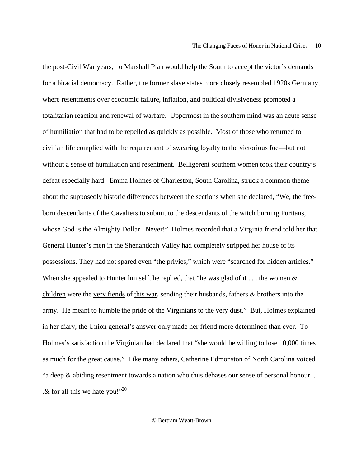the post-Civil War years, no Marshall Plan would help the South to accept the victor's demands for a biracial democracy. Rather, the former slave states more closely resembled 1920s Germany, where resentments over economic failure, inflation, and political divisiveness prompted a totalitarian reaction and renewal of warfare. Uppermost in the southern mind was an acute sense of humiliation that had to be repelled as quickly as possible. Most of those who returned to civilian life complied with the requirement of swearing loyalty to the victorious foe—but not without a sense of humiliation and resentment. Belligerent southern women took their country's defeat especially hard. Emma Holmes of Charleston, South Carolina, struck a common theme about the supposedly historic differences between the sections when she declared, "We, the freeborn descendants of the Cavaliers to submit to the descendants of the witch burning Puritans, whose God is the Almighty Dollar. Never!" Holmes recorded that a Virginia friend told her that General Hunter's men in the Shenandoah Valley had completely stripped her house of its possessions. They had not spared even "the privies," which were "searched for hidden articles." When she appealed to Hunter himself, he replied, that "he was glad of it . . . the women  $&$ children were the very fiends of this war, sending their husbands, fathers & brothers into the army. He meant to humble the pride of the Virginians to the very dust." But, Holmes explained in her diary, the Union general's answer only made her friend more determined than ever. To Holmes's satisfaction the Virginian had declared that "she would be willing to lose 10,000 times as much for the great cause." Like many others, Catherine Edmonston of North Carolina voiced "a deep & abiding resentment towards a nation who thus debases our sense of personal honour. . . .& for all this we hate you!"<sup>20</sup>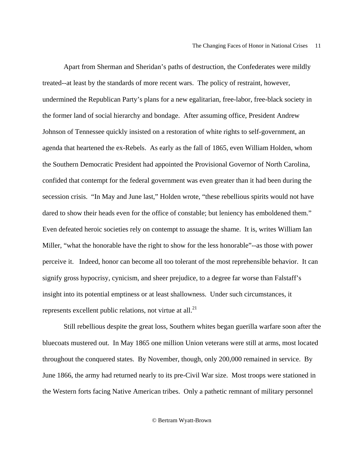Apart from Sherman and Sheridan's paths of destruction, the Confederates were mildly treated--at least by the standards of more recent wars. The policy of restraint, however, undermined the Republican Party's plans for a new egalitarian, free-labor, free-black society in the former land of social hierarchy and bondage. After assuming office, President Andrew Johnson of Tennessee quickly insisted on a restoration of white rights to self-government, an agenda that heartened the ex-Rebels. As early as the fall of 1865, even William Holden, whom the Southern Democratic President had appointed the Provisional Governor of North Carolina, confided that contempt for the federal government was even greater than it had been during the secession crisis. "In May and June last," Holden wrote, "these rebellious spirits would not have dared to show their heads even for the office of constable; but leniency has emboldened them." Even defeated heroic societies rely on contempt to assuage the shame. It is, writes William Ian Miller, "what the honorable have the right to show for the less honorable"--as those with power perceive it. Indeed, honor can become all too tolerant of the most reprehensible behavior. It can signify gross hypocrisy, cynicism, and sheer prejudice, to a degree far worse than Falstaff's insight into its potential emptiness or at least shallowness. Under such circumstances, it represents excellent public relations, not virtue at all.<sup>21</sup>

 Still rebellious despite the great loss, Southern whites began guerilla warfare soon after the bluecoats mustered out. In May 1865 one million Union veterans were still at arms, most located throughout the conquered states. By November, though, only 200,000 remained in service. By June 1866, the army had returned nearly to its pre-Civil War size. Most troops were stationed in the Western forts facing Native American tribes. Only a pathetic remnant of military personnel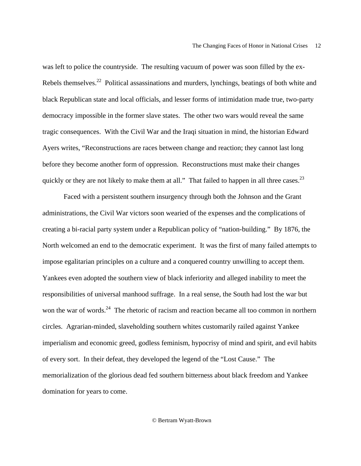was left to police the countryside. The resulting vacuum of power was soon filled by the ex-Rebels themselves.<sup>22</sup> Political assassinations and murders, lynchings, beatings of both white and black Republican state and local officials, and lesser forms of intimidation made true, two-party democracy impossible in the former slave states. The other two wars would reveal the same tragic consequences. With the Civil War and the Iraqi situation in mind, the historian Edward Ayers writes, "Reconstructions are races between change and reaction; they cannot last long before they become another form of oppression. Reconstructions must make their changes quickly or they are not likely to make them at all." That failed to happen in all three cases.<sup>23</sup>

 Faced with a persistent southern insurgency through both the Johnson and the Grant administrations, the Civil War victors soon wearied of the expenses and the complications of creating a bi-racial party system under a Republican policy of "nation-building." By 1876, the North welcomed an end to the democratic experiment. It was the first of many failed attempts to impose egalitarian principles on a culture and a conquered country unwilling to accept them. Yankees even adopted the southern view of black inferiority and alleged inability to meet the responsibilities of universal manhood suffrage. In a real sense, the South had lost the war but won the war of words.<sup>24</sup> The rhetoric of racism and reaction became all too common in northern circles. Agrarian-minded, slaveholding southern whites customarily railed against Yankee imperialism and economic greed, godless feminism, hypocrisy of mind and spirit, and evil habits of every sort. In their defeat, they developed the legend of the "Lost Cause." The memorialization of the glorious dead fed southern bitterness about black freedom and Yankee domination for years to come.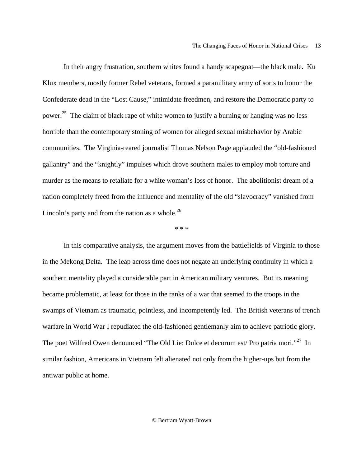In their angry frustration, southern whites found a handy scapegoat—the black male. Ku Klux members, mostly former Rebel veterans, formed a paramilitary army of sorts to honor the Confederate dead in the "Lost Cause," intimidate freedmen, and restore the Democratic party to power.25 The claim of black rape of white women to justify a burning or hanging was no less horrible than the contemporary stoning of women for alleged sexual misbehavior by Arabic communities. The Virginia-reared journalist Thomas Nelson Page applauded the "old-fashioned gallantry" and the "knightly" impulses which drove southern males to employ mob torture and murder as the means to retaliate for a white woman's loss of honor. The abolitionist dream of a nation completely freed from the influence and mentality of the old "slavocracy" vanished from Lincoln's party and from the nation as a whole. $^{26}$ 

\* \* \*

 In this comparative analysis, the argument moves from the battlefields of Virginia to those in the Mekong Delta. The leap across time does not negate an underlying continuity in which a southern mentality played a considerable part in American military ventures. But its meaning became problematic, at least for those in the ranks of a war that seemed to the troops in the swamps of Vietnam as traumatic, pointless, and incompetently led. The British veterans of trench warfare in World War I repudiated the old-fashioned gentlemanly aim to achieve patriotic glory. The poet Wilfred Owen denounced "The Old Lie: Dulce et decorum est/ Pro patria mori."<sup>27</sup> In similar fashion, Americans in Vietnam felt alienated not only from the higher-ups but from the antiwar public at home.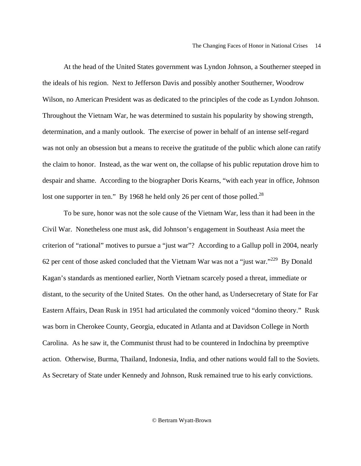At the head of the United States government was Lyndon Johnson, a Southerner steeped in the ideals of his region. Next to Jefferson Davis and possibly another Southerner, Woodrow Wilson, no American President was as dedicated to the principles of the code as Lyndon Johnson. Throughout the Vietnam War, he was determined to sustain his popularity by showing strength, determination, and a manly outlook. The exercise of power in behalf of an intense self-regard was not only an obsession but a means to receive the gratitude of the public which alone can ratify the claim to honor. Instead, as the war went on, the collapse of his public reputation drove him to despair and shame. According to the biographer Doris Kearns, "with each year in office, Johnson lost one supporter in ten." By 1968 he held only 26 per cent of those polled.<sup>28</sup>

 To be sure, honor was not the sole cause of the Vietnam War, less than it had been in the Civil War. Nonetheless one must ask, did Johnson's engagement in Southeast Asia meet the criterion of "rational" motives to pursue a "just war"? According to a Gallup poll in 2004, nearly 62 per cent of those asked concluded that the Vietnam War was not a "just war."<sup>229</sup> By Donald Kagan's standards as mentioned earlier, North Vietnam scarcely posed a threat, immediate or distant, to the security of the United States. On the other hand, as Undersecretary of State for Far Eastern Affairs, Dean Rusk in 1951 had articulated the commonly voiced "domino theory." Rusk was born in Cherokee County, Georgia, educated in Atlanta and at Davidson College in North Carolina. As he saw it, the Communist thrust had to be countered in Indochina by preemptive action. Otherwise, Burma, Thailand, Indonesia, India, and other nations would fall to the Soviets. As Secretary of State under Kennedy and Johnson, Rusk remained true to his early convictions.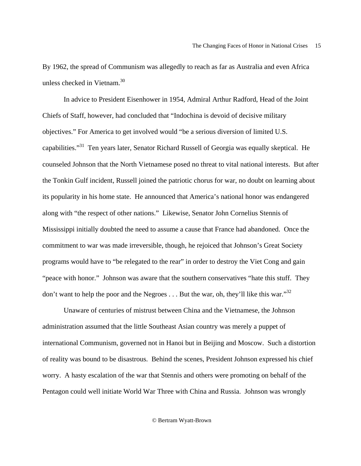By 1962, the spread of Communism was allegedly to reach as far as Australia and even Africa unless checked in Vietnam.<sup>30</sup>

 In advice to President Eisenhower in 1954, Admiral Arthur Radford, Head of the Joint Chiefs of Staff, however, had concluded that "Indochina is devoid of decisive military objectives." For America to get involved would "be a serious diversion of limited U.S. capabilities."31 Ten years later, Senator Richard Russell of Georgia was equally skeptical. He counseled Johnson that the North Vietnamese posed no threat to vital national interests. But after the Tonkin Gulf incident, Russell joined the patriotic chorus for war, no doubt on learning about its popularity in his home state. He announced that America's national honor was endangered along with "the respect of other nations." Likewise, Senator John Cornelius Stennis of Mississippi initially doubted the need to assume a cause that France had abandoned. Once the commitment to war was made irreversible, though, he rejoiced that Johnson's Great Society programs would have to "be relegated to the rear" in order to destroy the Viet Cong and gain "peace with honor." Johnson was aware that the southern conservatives "hate this stuff. They don't want to help the poor and the Negroes . . . But the war, oh, they'll like this war."<sup>32</sup>

 Unaware of centuries of mistrust between China and the Vietnamese, the Johnson administration assumed that the little Southeast Asian country was merely a puppet of international Communism, governed not in Hanoi but in Beijing and Moscow. Such a distortion of reality was bound to be disastrous. Behind the scenes, President Johnson expressed his chief worry. A hasty escalation of the war that Stennis and others were promoting on behalf of the Pentagon could well initiate World War Three with China and Russia. Johnson was wrongly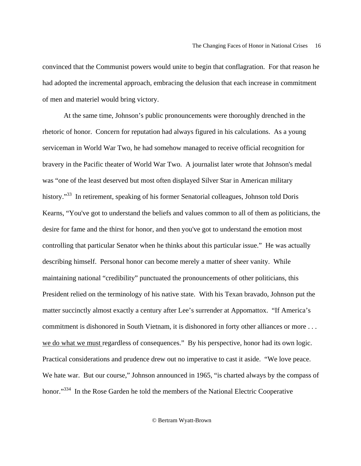convinced that the Communist powers would unite to begin that conflagration. For that reason he had adopted the incremental approach, embracing the delusion that each increase in commitment of men and materiel would bring victory.

 At the same time, Johnson's public pronouncements were thoroughly drenched in the rhetoric of honor. Concern for reputation had always figured in his calculations. As a young serviceman in World War Two, he had somehow managed to receive official recognition for bravery in the Pacific theater of World War Two. A journalist later wrote that Johnson's medal was "one of the least deserved but most often displayed Silver Star in American military history."<sup>33</sup> In retirement, speaking of his former Senatorial colleagues, Johnson told Doris Kearns, "You've got to understand the beliefs and values common to all of them as politicians, the desire for fame and the thirst for honor, and then you've got to understand the emotion most controlling that particular Senator when he thinks about this particular issue." He was actually describing himself. Personal honor can become merely a matter of sheer vanity. While maintaining national "credibility" punctuated the pronouncements of other politicians, this President relied on the terminology of his native state. With his Texan bravado, Johnson put the matter succinctly almost exactly a century after Lee's surrender at Appomattox. "If America's commitment is dishonored in South Vietnam, it is dishonored in forty other alliances or more . . . we do what we must regardless of consequences." By his perspective, honor had its own logic. Practical considerations and prudence drew out no imperative to cast it aside. "We love peace. We hate war. But our course," Johnson announced in 1965, "is charted always by the compass of honor."<sup>334</sup> In the Rose Garden he told the members of the National Electric Cooperative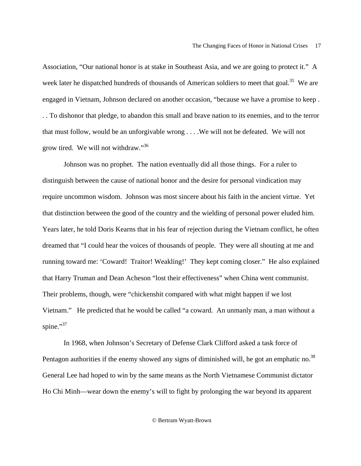Association, "Our national honor is at stake in Southeast Asia, and we are going to protect it." A week later he dispatched hundreds of thousands of American soldiers to meet that goal.<sup>35</sup> We are engaged in Vietnam, Johnson declared on another occasion, "because we have a promise to keep .

. . To dishonor that pledge, to abandon this small and brave nation to its enemies, and to the terror that must follow, would be an unforgivable wrong . . . .We will not be defeated. We will not grow tired. We will not withdraw."36

 Johnson was no prophet. The nation eventually did all those things. For a ruler to distinguish between the cause of national honor and the desire for personal vindication may require uncommon wisdom. Johnson was most sincere about his faith in the ancient virtue. Yet that distinction between the good of the country and the wielding of personal power eluded him. Years later, he told Doris Kearns that in his fear of rejection during the Vietnam conflict, he often dreamed that "I could hear the voices of thousands of people. They were all shouting at me and running toward me: 'Coward! Traitor! Weakling!' They kept coming closer." He also explained that Harry Truman and Dean Acheson "lost their effectiveness" when China went communist. Their problems, though, were "chickenshit compared with what might happen if we lost Vietnam." He predicted that he would be called "a coward. An unmanly man, a man without a spine." $37$ 

 In 1968, when Johnson's Secretary of Defense Clark Clifford asked a task force of Pentagon authorities if the enemy showed any signs of diminished will, he got an emphatic no.<sup>38</sup> General Lee had hoped to win by the same means as the North Vietnamese Communist dictator Ho Chi Minh—wear down the enemy's will to fight by prolonging the war beyond its apparent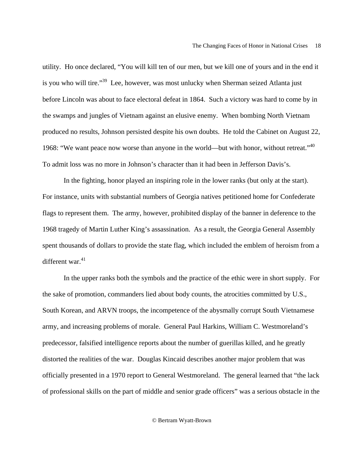utility. Ho once declared, "You will kill ten of our men, but we kill one of yours and in the end it is you who will tire."<sup>39</sup> Lee, however, was most unlucky when Sherman seized Atlanta just before Lincoln was about to face electoral defeat in 1864. Such a victory was hard to come by in the swamps and jungles of Vietnam against an elusive enemy. When bombing North Vietnam produced no results, Johnson persisted despite his own doubts. He told the Cabinet on August 22, 1968: "We want peace now worse than anyone in the world—but with honor, without retreat."<sup>40</sup> To admit loss was no more in Johnson's character than it had been in Jefferson Davis's.

 In the fighting, honor played an inspiring role in the lower ranks (but only at the start). For instance, units with substantial numbers of Georgia natives petitioned home for Confederate flags to represent them. The army, however, prohibited display of the banner in deference to the 1968 tragedy of Martin Luther King's assassination. As a result, the Georgia General Assembly spent thousands of dollars to provide the state flag, which included the emblem of heroism from a different war. $41$ 

 In the upper ranks both the symbols and the practice of the ethic were in short supply. For the sake of promotion, commanders lied about body counts, the atrocities committed by U.S., South Korean, and ARVN troops, the incompetence of the abysmally corrupt South Vietnamese army, and increasing problems of morale. General Paul Harkins, William C. Westmoreland's predecessor, falsified intelligence reports about the number of guerillas killed, and he greatly distorted the realities of the war. Douglas Kincaid describes another major problem that was officially presented in a 1970 report to General Westmoreland. The general learned that "the lack of professional skills on the part of middle and senior grade officers" was a serious obstacle in the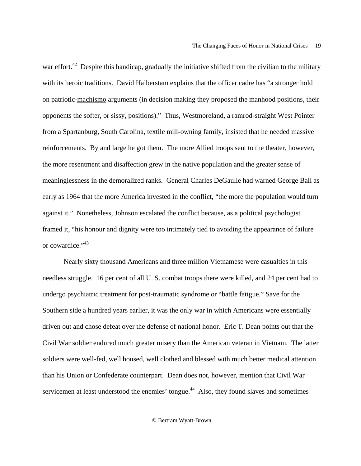war effort.<sup>42</sup> Despite this handicap, gradually the initiative shifted from the civilian to the military with its heroic traditions. David Halberstam explains that the officer cadre has "a stronger hold on patriotic-machismo arguments (in decision making they proposed the manhood positions, their opponents the softer, or sissy, positions)." Thus, Westmoreland, a ramrod-straight West Pointer from a Spartanburg, South Carolina, textile mill-owning family, insisted that he needed massive reinforcements. By and large he got them. The more Allied troops sent to the theater, however, the more resentment and disaffection grew in the native population and the greater sense of meaninglessness in the demoralized ranks. General Charles DeGaulle had warned George Ball as early as 1964 that the more America invested in the conflict, "the more the population would turn against it." Nonetheless, Johnson escalated the conflict because, as a political psychologist framed it, "his honour and dignity were too intimately tied to avoiding the appearance of failure or cowardice."<sup>43</sup>

 Nearly sixty thousand Americans and three million Vietnamese were casualties in this needless struggle. 16 per cent of all U. S. combat troops there were killed, and 24 per cent had to undergo psychiatric treatment for post-traumatic syndrome or "battle fatigue." Save for the Southern side a hundred years earlier, it was the only war in which Americans were essentially driven out and chose defeat over the defense of national honor. Eric T. Dean points out that the Civil War soldier endured much greater misery than the American veteran in Vietnam. The latter soldiers were well-fed, well housed, well clothed and blessed with much better medical attention than his Union or Confederate counterpart. Dean does not, however, mention that Civil War servicemen at least understood the enemies' tongue.<sup>44</sup> Also, they found slaves and sometimes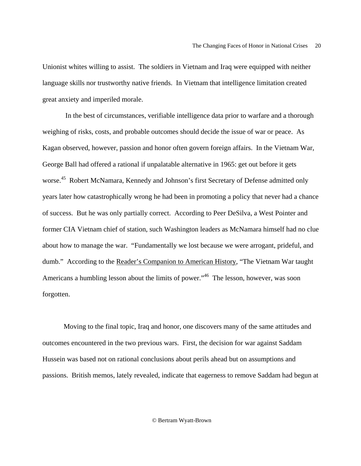Unionist whites willing to assist. The soldiers in Vietnam and Iraq were equipped with neither language skills nor trustworthy native friends. In Vietnam that intelligence limitation created great anxiety and imperiled morale.

 In the best of circumstances, verifiable intelligence data prior to warfare and a thorough weighing of risks, costs, and probable outcomes should decide the issue of war or peace. As Kagan observed, however, passion and honor often govern foreign affairs. In the Vietnam War, George Ball had offered a rational if unpalatable alternative in 1965: get out before it gets worse.<sup>45</sup> Robert McNamara, Kennedy and Johnson's first Secretary of Defense admitted only years later how catastrophically wrong he had been in promoting a policy that never had a chance of success. But he was only partially correct. According to Peer DeSilva, a West Pointer and former CIA Vietnam chief of station, such Washington leaders as McNamara himself had no clue about how to manage the war. "Fundamentally we lost because we were arrogant, prideful, and dumb." According to the Reader's Companion to American History, "The Vietnam War taught Americans a humbling lesson about the limits of power.<sup>46</sup> The lesson, however, was soon forgotten.

 Moving to the final topic, Iraq and honor, one discovers many of the same attitudes and outcomes encountered in the two previous wars. First, the decision for war against Saddam Hussein was based not on rational conclusions about perils ahead but on assumptions and passions. British memos, lately revealed, indicate that eagerness to remove Saddam had begun at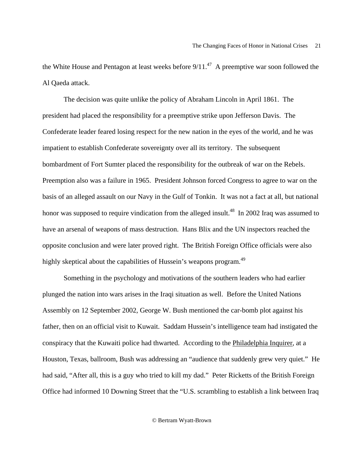the White House and Pentagon at least weeks before  $9/11<sup>47</sup>$  A preemptive war soon followed the Al Qaeda attack.

 The decision was quite unlike the policy of Abraham Lincoln in April 1861. The president had placed the responsibility for a preemptive strike upon Jefferson Davis. The Confederate leader feared losing respect for the new nation in the eyes of the world, and he was impatient to establish Confederate sovereignty over all its territory. The subsequent bombardment of Fort Sumter placed the responsibility for the outbreak of war on the Rebels. Preemption also was a failure in 1965. President Johnson forced Congress to agree to war on the basis of an alleged assault on our Navy in the Gulf of Tonkin. It was not a fact at all, but national honor was supposed to require vindication from the alleged insult.<sup>48</sup> In 2002 Iraq was assumed to have an arsenal of weapons of mass destruction. Hans Blix and the UN inspectors reached the opposite conclusion and were later proved right. The British Foreign Office officials were also highly skeptical about the capabilities of Hussein's weapons program.<sup>49</sup>

 Something in the psychology and motivations of the southern leaders who had earlier plunged the nation into wars arises in the Iraqi situation as well. Before the United Nations Assembly on 12 September 2002, George W. Bush mentioned the car-bomb plot against his father, then on an official visit to Kuwait. Saddam Hussein's intelligence team had instigated the conspiracy that the Kuwaiti police had thwarted. According to the Philadelphia Inquirer, at a Houston, Texas, ballroom, Bush was addressing an "audience that suddenly grew very quiet." He had said, "After all, this is a guy who tried to kill my dad." Peter Ricketts of the British Foreign Office had informed 10 Downing Street that the "U.S. scrambling to establish a link between Iraq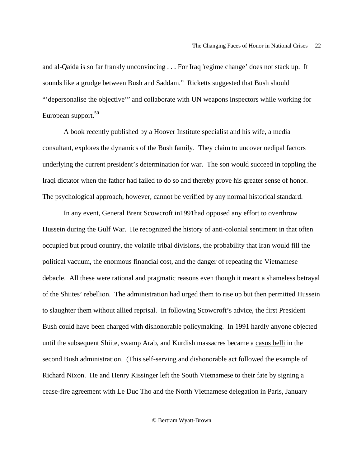and al-Qaida is so far frankly unconvincing . . . For Iraq 'regime change' does not stack up. It sounds like a grudge between Bush and Saddam." Ricketts suggested that Bush should "'depersonalise the objective'" and collaborate with UN weapons inspectors while working for European support. $50$ 

 A book recently published by a Hoover Institute specialist and his wife, a media consultant, explores the dynamics of the Bush family. They claim to uncover oedipal factors underlying the current president's determination for war. The son would succeed in toppling the Iraqi dictator when the father had failed to do so and thereby prove his greater sense of honor. The psychological approach, however, cannot be verified by any normal historical standard.

 In any event, General Brent Scowcroft in1991had opposed any effort to overthrow Hussein during the Gulf War. He recognized the history of anti-colonial sentiment in that often occupied but proud country, the volatile tribal divisions, the probability that Iran would fill the political vacuum, the enormous financial cost, and the danger of repeating the Vietnamese debacle. All these were rational and pragmatic reasons even though it meant a shameless betrayal of the Shiites' rebellion. The administration had urged them to rise up but then permitted Hussein to slaughter them without allied reprisal. In following Scowcroft's advice, the first President Bush could have been charged with dishonorable policymaking. In 1991 hardly anyone objected until the subsequent Shiite, swamp Arab, and Kurdish massacres became a casus belli in the second Bush administration. (This self-serving and dishonorable act followed the example of Richard Nixon. He and Henry Kissinger left the South Vietnamese to their fate by signing a cease-fire agreement with Le Duc Tho and the North Vietnamese delegation in Paris, January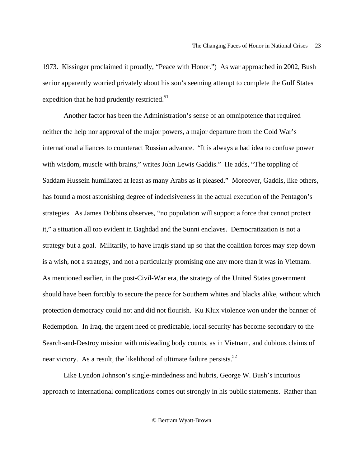1973. Kissinger proclaimed it proudly, "Peace with Honor.") As war approached in 2002, Bush senior apparently worried privately about his son's seeming attempt to complete the Gulf States expedition that he had prudently restricted. $51$ 

 Another factor has been the Administration's sense of an omnipotence that required neither the help nor approval of the major powers, a major departure from the Cold War's international alliances to counteract Russian advance. "It is always a bad idea to confuse power with wisdom, muscle with brains," writes John Lewis Gaddis." He adds, "The toppling of Saddam Hussein humiliated at least as many Arabs as it pleased." Moreover, Gaddis, like others, has found a most astonishing degree of indecisiveness in the actual execution of the Pentagon's strategies. As James Dobbins observes, "no population will support a force that cannot protect it," a situation all too evident in Baghdad and the Sunni enclaves. Democratization is not a strategy but a goal. Militarily, to have Iraqis stand up so that the coalition forces may step down is a wish, not a strategy, and not a particularly promising one any more than it was in Vietnam. As mentioned earlier, in the post-Civil-War era, the strategy of the United States government should have been forcibly to secure the peace for Southern whites and blacks alike, without which protection democracy could not and did not flourish. Ku Klux violence won under the banner of Redemption. In Iraq, the urgent need of predictable, local security has become secondary to the Search-and-Destroy mission with misleading body counts, as in Vietnam, and dubious claims of near victory. As a result, the likelihood of ultimate failure persists. $52$ 

 Like Lyndon Johnson's single-mindedness and hubris, George W. Bush's incurious approach to international complications comes out strongly in his public statements. Rather than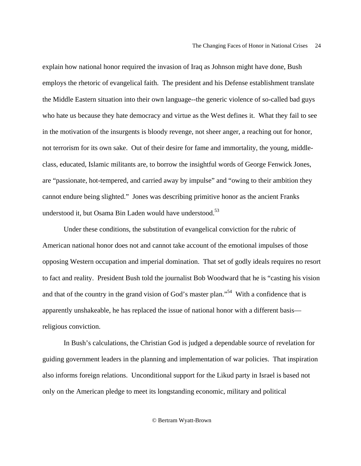explain how national honor required the invasion of Iraq as Johnson might have done, Bush employs the rhetoric of evangelical faith. The president and his Defense establishment translate the Middle Eastern situation into their own language--the generic violence of so-called bad guys who hate us because they hate democracy and virtue as the West defines it. What they fail to see in the motivation of the insurgents is bloody revenge, not sheer anger, a reaching out for honor, not terrorism for its own sake. Out of their desire for fame and immortality, the young, middleclass, educated, Islamic militants are, to borrow the insightful words of George Fenwick Jones, are "passionate, hot-tempered, and carried away by impulse" and "owing to their ambition they cannot endure being slighted." Jones was describing primitive honor as the ancient Franks understood it, but Osama Bin Laden would have understood.<sup>53</sup>

 Under these conditions, the substitution of evangelical conviction for the rubric of American national honor does not and cannot take account of the emotional impulses of those opposing Western occupation and imperial domination. That set of godly ideals requires no resort to fact and reality. President Bush told the journalist Bob Woodward that he is "casting his vision and that of the country in the grand vision of God's master plan."<sup>54</sup> With a confidence that is apparently unshakeable, he has replaced the issue of national honor with a different basis religious conviction.

 In Bush's calculations, the Christian God is judged a dependable source of revelation for guiding government leaders in the planning and implementation of war policies. That inspiration also informs foreign relations. Unconditional support for the Likud party in Israel is based not only on the American pledge to meet its longstanding economic, military and political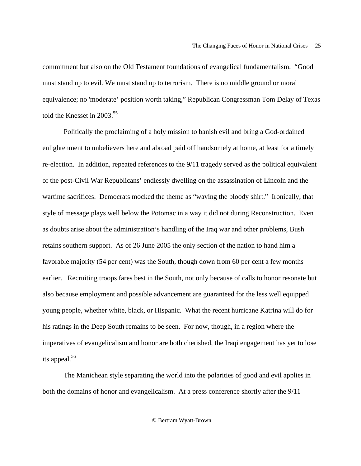commitment but also on the Old Testament foundations of evangelical fundamentalism. "Good must stand up to evil. We must stand up to terrorism. There is no middle ground or moral equivalence; no 'moderate' position worth taking," Republican Congressman Tom Delay of Texas told the Knesset in 2003.<sup>55</sup>

 Politically the proclaiming of a holy mission to banish evil and bring a God-ordained enlightenment to unbelievers here and abroad paid off handsomely at home, at least for a timely re-election. In addition, repeated references to the 9/11 tragedy served as the political equivalent of the post-Civil War Republicans' endlessly dwelling on the assassination of Lincoln and the wartime sacrifices. Democrats mocked the theme as "waving the bloody shirt." Ironically, that style of message plays well below the Potomac in a way it did not during Reconstruction. Even as doubts arise about the administration's handling of the Iraq war and other problems, Bush retains southern support. As of 26 June 2005 the only section of the nation to hand him a favorable majority (54 per cent) was the South, though down from 60 per cent a few months earlier. Recruiting troops fares best in the South, not only because of calls to honor resonate but also because employment and possible advancement are guaranteed for the less well equipped young people, whether white, black, or Hispanic. What the recent hurricane Katrina will do for his ratings in the Deep South remains to be seen. For now, though, in a region where the imperatives of evangelicalism and honor are both cherished, the Iraqi engagement has yet to lose its appeal.<sup>56</sup>

 The Manichean style separating the world into the polarities of good and evil applies in both the domains of honor and evangelicalism. At a press conference shortly after the 9/11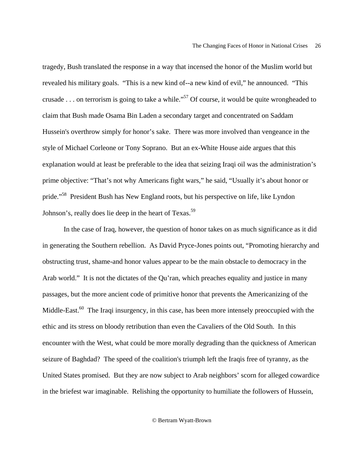tragedy, Bush translated the response in a way that incensed the honor of the Muslim world but revealed his military goals. "This is a new kind of--a new kind of evil," he announced. "This crusade . . . on terrorism is going to take a while."<sup>57</sup> Of course, it would be quite wrongheaded to claim that Bush made Osama Bin Laden a secondary target and concentrated on Saddam Hussein's overthrow simply for honor's sake. There was more involved than vengeance in the style of Michael Corleone or Tony Soprano. But an ex-White House aide argues that this explanation would at least be preferable to the idea that seizing Iraqi oil was the administration's prime objective: "That's not why Americans fight wars," he said, "Usually it's about honor or pride."<sup>58</sup> President Bush has New England roots, but his perspective on life, like Lyndon Johnson's, really does lie deep in the heart of Texas.<sup>59</sup>

 In the case of Iraq, however, the question of honor takes on as much significance as it did in generating the Southern rebellion. As David Pryce-Jones points out, "Promoting hierarchy and obstructing trust, shame-and honor values appear to be the main obstacle to democracy in the Arab world." It is not the dictates of the Qu'ran, which preaches equality and justice in many passages, but the more ancient code of primitive honor that prevents the Americanizing of the Middle-East. $60$  The Iraqi insurgency, in this case, has been more intensely preoccupied with the ethic and its stress on bloody retribution than even the Cavaliers of the Old South. In this encounter with the West, what could be more morally degrading than the quickness of American seizure of Baghdad? The speed of the coalition's triumph left the Iraqis free of tyranny, as the United States promised. But they are now subject to Arab neighbors' scorn for alleged cowardice in the briefest war imaginable. Relishing the opportunity to humiliate the followers of Hussein,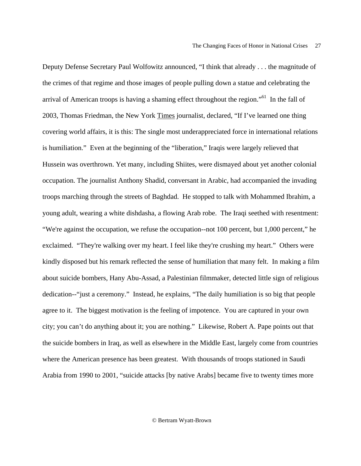Deputy Defense Secretary Paul Wolfowitz announced, "I think that already . . . the magnitude of the crimes of that regime and those images of people pulling down a statue and celebrating the arrival of American troops is having a shaming effect throughout the region."<sup>61</sup> In the fall of 2003, Thomas Friedman, the New York Times journalist, declared, "If I've learned one thing covering world affairs, it is this: The single most underappreciated force in international relations is humiliation." Even at the beginning of the "liberation," Iraqis were largely relieved that Hussein was overthrown. Yet many, including Shiites, were dismayed about yet another colonial occupation. The journalist Anthony Shadid, conversant in Arabic, had accompanied the invading troops marching through the streets of Baghdad. He stopped to talk with Mohammed Ibrahim, a young adult, wearing a white dishdasha, a flowing Arab robe. The Iraqi seethed with resentment: "We're against the occupation, we refuse the occupation--not 100 percent, but 1,000 percent," he exclaimed. "They're walking over my heart. I feel like they're crushing my heart." Others were kindly disposed but his remark reflected the sense of humiliation that many felt. In making a film about suicide bombers, Hany Abu-Assad, a Palestinian filmmaker, detected little sign of religious dedication--"just a ceremony." Instead, he explains, "The daily humiliation is so big that people agree to it. The biggest motivation is the feeling of impotence. You are captured in your own city; you can't do anything about it; you are nothing." Likewise, Robert A. Pape points out that the suicide bombers in Iraq, as well as elsewhere in the Middle East, largely come from countries where the American presence has been greatest. With thousands of troops stationed in Saudi Arabia from 1990 to 2001, "suicide attacks [by native Arabs] became five to twenty times more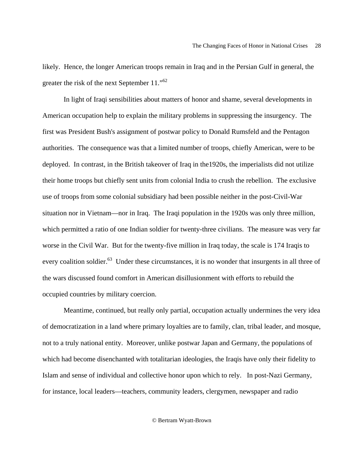likely. Hence, the longer American troops remain in Iraq and in the Persian Gulf in general, the greater the risk of the next September 11."<sup>62</sup>

 In light of Iraqi sensibilities about matters of honor and shame, several developments in American occupation help to explain the military problems in suppressing the insurgency. The first was President Bush's assignment of postwar policy to Donald Rumsfeld and the Pentagon authorities. The consequence was that a limited number of troops, chiefly American, were to be deployed. In contrast, in the British takeover of Iraq in the1920s, the imperialists did not utilize their home troops but chiefly sent units from colonial India to crush the rebellion. The exclusive use of troops from some colonial subsidiary had been possible neither in the post-Civil-War situation nor in Vietnam—nor in Iraq. The Iraqi population in the 1920s was only three million, which permitted a ratio of one Indian soldier for twenty-three civilians. The measure was very far worse in the Civil War. But for the twenty-five million in Iraq today, the scale is 174 Iraqis to every coalition soldier.<sup>63</sup> Under these circumstances, it is no wonder that insurgents in all three of the wars discussed found comfort in American disillusionment with efforts to rebuild the occupied countries by military coercion.

 Meantime, continued, but really only partial, occupation actually undermines the very idea of democratization in a land where primary loyalties are to family, clan, tribal leader, and mosque, not to a truly national entity. Moreover, unlike postwar Japan and Germany, the populations of which had become disenchanted with totalitarian ideologies, the Iraqis have only their fidelity to Islam and sense of individual and collective honor upon which to rely. In post-Nazi Germany, for instance, local leaders—teachers, community leaders, clergymen, newspaper and radio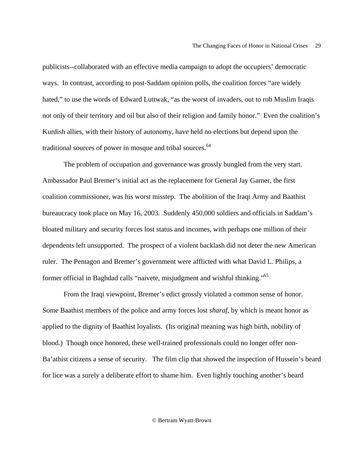publicists--collaborated with an effective media campaign to adopt the occupiers' democratic ways. In contrast, according to post-Saddam opinion polls, the coalition forces "are widely hated," to use the words of Edward Luttwak, "as the worst of invaders, out to rob Muslim Iraqis not only of their territory and oil but also of their religion and family honor." Even the coalition's Kurdish allies, with their history of autonomy, have held no elections but depend upon the traditional sources of power in mosque and tribal sources.<sup>64</sup>

 The problem of occupation and governance was grossly bungled from the very start. Ambassador Paul Bremer's initial act as the replacement for General Jay Garner, the first coalition commissioner, was his worst misstep. The abolition of the Iraqi Army and Baathist bureaucracy took place on May 16, 2003. Suddenly 450,000 soldiers and officials in Saddam's bloated military and security forces lost status and incomes, with perhaps one million of their dependents left unsupported. The prospect of a violent backlash did not deter the new American ruler. The Pentagon and Bremer's government were afflicted with what David L. Philips, a former official in Baghdad calls "naivete, misjudgment and wishful thinking."65

 From the Iraqi viewpoint, Bremer's edict grossly violated a common sense of honor. Some Baathist members of the police and army forces lost *sharaf*, by which is meant honor as applied to the dignity of Baathist loyalists. (Its original meaning was high birth, nobility of blood.) Though once honored, these well-trained professionals could no longer offer non-Ba'athist citizens a sense of security. The film clip that showed the inspection of Hussein's beard for lice was a surely a deliberate effort to shame him. Even lightly touching another's beard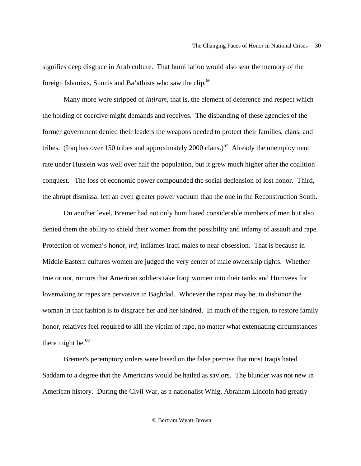signifies deep disgrace in Arab culture. That humiliation would also sear the memory of the foreign Islamists, Sunnis and Ba'athists who saw the clip.<sup>66</sup>

 Many more were stripped of *ihtiram*, that is, the element of deference and respect which the holding of coercive might demands and receives. The disbanding of these agencies of the former government denied their leaders the weapons needed to protect their families, clans, and tribes. (Iraq has over 150 tribes and approximately 2000 clans.)<sup>67</sup> Already the unemployment rate under Hussein was well over half the population, but it grew much higher after the coalition conquest. The loss of economic power compounded the social declension of lost honor. Third, the abrupt dismissal left an even greater power vacuum than the one in the Reconstruction South.

 On another level, Bremer had not only humiliated considerable numbers of men but also denied them the ability to shield their women from the possibility and infamy of assault and rape. Protection of women's honor, *ird,* inflames Iraqi males to near obsession. That is because in Middle Eastern cultures women are judged the very center of male ownership rights. Whether true or not, rumors that American soldiers take Iraqi women into their tanks and Humvees for lovemaking or rapes are pervasive in Baghdad. Whoever the rapist may be, to dishonor the woman in that fashion is to disgrace her and her kindred. In much of the region, to restore family honor, relatives feel required to kill the victim of rape, no matter what extenuating circumstances there might be. $^{68}$ 

 Bremer's peremptory orders were based on the false premise that most Iraqis hated Saddam to a degree that the Americans would be hailed as saviors. The blunder was not new in American history. During the Civil War, as a nationalist Whig, Abraham Lincoln had greatly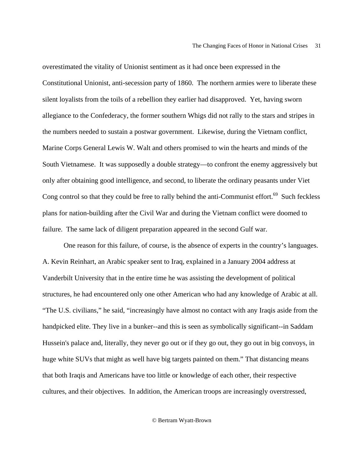overestimated the vitality of Unionist sentiment as it had once been expressed in the Constitutional Unionist, anti-secession party of 1860. The northern armies were to liberate these silent loyalists from the toils of a rebellion they earlier had disapproved. Yet, having sworn allegiance to the Confederacy, the former southern Whigs did not rally to the stars and stripes in the numbers needed to sustain a postwar government. Likewise, during the Vietnam conflict, Marine Corps General Lewis W. Walt and others promised to win the hearts and minds of the South Vietnamese. It was supposedly a double strategy—to confront the enemy aggressively but only after obtaining good intelligence, and second, to liberate the ordinary peasants under Viet Cong control so that they could be free to rally behind the anti-Communist effort.<sup>69</sup> Such feckless plans for nation-building after the Civil War and during the Vietnam conflict were doomed to failure. The same lack of diligent preparation appeared in the second Gulf war.

 One reason for this failure, of course, is the absence of experts in the country's languages. A. Kevin Reinhart, an Arabic speaker sent to Iraq, explained in a January 2004 address at Vanderbilt University that in the entire time he was assisting the development of political structures, he had encountered only one other American who had any knowledge of Arabic at all. "The U.S. civilians," he said, "increasingly have almost no contact with any Iraqis aside from the handpicked elite. They live in a bunker--and this is seen as symbolically significant--in Saddam Hussein's palace and, literally, they never go out or if they go out, they go out in big convoys, in huge white SUVs that might as well have big targets painted on them." That distancing means that both Iraqis and Americans have too little or knowledge of each other, their respective cultures, and their objectives. In addition, the American troops are increasingly overstressed,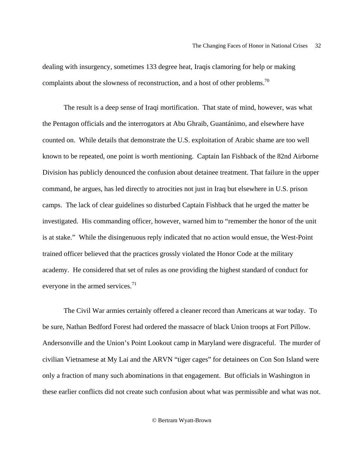dealing with insurgency, sometimes 133 degree heat, Iraqis clamoring for help or making complaints about the slowness of reconstruction, and a host of other problems.<sup>70</sup>

 The result is a deep sense of Iraqi mortification. That state of mind, however, was what the Pentagon officials and the interrogators at Abu Ghraib, Guantánimo, and elsewhere have counted on. While details that demonstrate the U.S. exploitation of Arabic shame are too well known to be repeated, one point is worth mentioning. Captain Ian Fishback of the 82nd Airborne Division has publicly denounced the confusion about detainee treatment. That failure in the upper command, he argues, has led directly to atrocities not just in Iraq but elsewhere in U.S. prison camps. The lack of clear guidelines so disturbed Captain Fishback that he urged the matter be investigated. His commanding officer, however, warned him to "remember the honor of the unit is at stake." While the disingenuous reply indicated that no action would ensue, the West-Point trained officer believed that the practices grossly violated the Honor Code at the military academy. He considered that set of rules as one providing the highest standard of conduct for everyone in the armed services.<sup>71</sup>

 The Civil War armies certainly offered a cleaner record than Americans at war today. To be sure, Nathan Bedford Forest had ordered the massacre of black Union troops at Fort Pillow. Andersonville and the Union's Point Lookout camp in Maryland were disgraceful. The murder of civilian Vietnamese at My Lai and the ARVN "tiger cages" for detainees on Con Son Island were only a fraction of many such abominations in that engagement. But officials in Washington in these earlier conflicts did not create such confusion about what was permissible and what was not.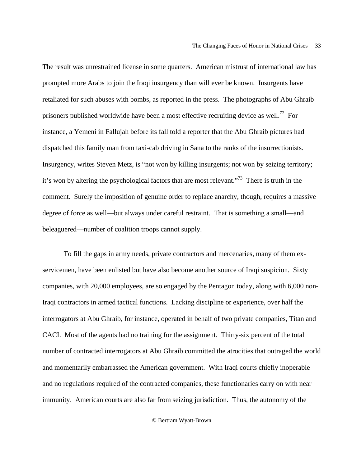The result was unrestrained license in some quarters. American mistrust of international law has prompted more Arabs to join the Iraqi insurgency than will ever be known. Insurgents have retaliated for such abuses with bombs, as reported in the press. The photographs of Abu Ghraib prisoners published worldwide have been a most effective recruiting device as well.<sup>72</sup> For instance, a Yemeni in Fallujah before its fall told a reporter that the Abu Ghraib pictures had dispatched this family man from taxi-cab driving in Sana to the ranks of the insurrectionists. Insurgency, writes Steven Metz, is "not won by killing insurgents; not won by seizing territory; it's won by altering the psychological factors that are most relevant."<sup>73</sup> There is truth in the comment. Surely the imposition of genuine order to replace anarchy, though, requires a massive degree of force as well—but always under careful restraint. That is something a small—and beleaguered—number of coalition troops cannot supply.

 To fill the gaps in army needs, private contractors and mercenaries, many of them exservicemen, have been enlisted but have also become another source of Iraqi suspicion. Sixty companies, with 20,000 employees, are so engaged by the Pentagon today, along with 6,000 non-Iraqi contractors in armed tactical functions. Lacking discipline or experience, over half the interrogators at Abu Ghraib, for instance, operated in behalf of two private companies, Titan and CACI. Most of the agents had no training for the assignment. Thirty-six percent of the total number of contracted interrogators at Abu Ghraib committed the atrocities that outraged the world and momentarily embarrassed the American government. With Iraqi courts chiefly inoperable and no regulations required of the contracted companies, these functionaries carry on with near immunity. American courts are also far from seizing jurisdiction. Thus, the autonomy of the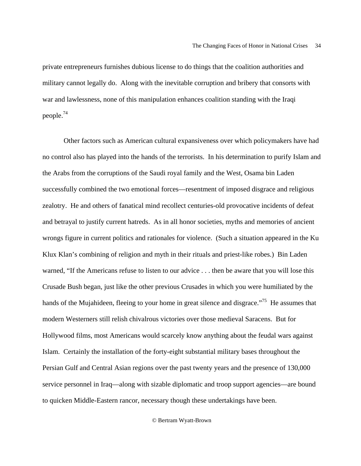private entrepreneurs furnishes dubious license to do things that the coalition authorities and military cannot legally do. Along with the inevitable corruption and bribery that consorts with war and lawlessness, none of this manipulation enhances coalition standing with the Iraqi people.74

 Other factors such as American cultural expansiveness over which policymakers have had no control also has played into the hands of the terrorists. In his determination to purify Islam and the Arabs from the corruptions of the Saudi royal family and the West, Osama bin Laden successfully combined the two emotional forces—resentment of imposed disgrace and religious zealotry. He and others of fanatical mind recollect centuries-old provocative incidents of defeat and betrayal to justify current hatreds. As in all honor societies, myths and memories of ancient wrongs figure in current politics and rationales for violence. (Such a situation appeared in the Ku Klux Klan's combining of religion and myth in their rituals and priest-like robes.) Bin Laden warned, "If the Americans refuse to listen to our advice . . . then be aware that you will lose this Crusade Bush began, just like the other previous Crusades in which you were humiliated by the hands of the Mujahideen, fleeing to your home in great silence and disgrace.<sup>775</sup> He assumes that modern Westerners still relish chivalrous victories over those medieval Saracens. But for Hollywood films, most Americans would scarcely know anything about the feudal wars against Islam. Certainly the installation of the forty-eight substantial military bases throughout the Persian Gulf and Central Asian regions over the past twenty years and the presence of 130,000 service personnel in Iraq—along with sizable diplomatic and troop support agencies—are bound to quicken Middle-Eastern rancor, necessary though these undertakings have been.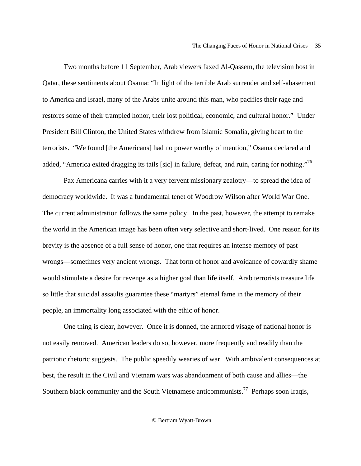Two months before 11 September, Arab viewers faxed Al-Qassem, the television host in Qatar, these sentiments about Osama: "In light of the terrible Arab surrender and self-abasement to America and Israel, many of the Arabs unite around this man, who pacifies their rage and restores some of their trampled honor, their lost political, economic, and cultural honor." Under President Bill Clinton, the United States withdrew from Islamic Somalia, giving heart to the terrorists. "We found [the Americans] had no power worthy of mention," Osama declared and added, "America exited dragging its tails [sic] in failure, defeat, and ruin, caring for nothing."<sup>76</sup>

 Pax Americana carries with it a very fervent missionary zealotry—to spread the idea of democracy worldwide. It was a fundamental tenet of Woodrow Wilson after World War One. The current administration follows the same policy. In the past, however, the attempt to remake the world in the American image has been often very selective and short-lived. One reason for its brevity is the absence of a full sense of honor, one that requires an intense memory of past wrongs—sometimes very ancient wrongs. That form of honor and avoidance of cowardly shame would stimulate a desire for revenge as a higher goal than life itself. Arab terrorists treasure life so little that suicidal assaults guarantee these "martyrs" eternal fame in the memory of their people, an immortality long associated with the ethic of honor.

 One thing is clear, however. Once it is donned, the armored visage of national honor is not easily removed. American leaders do so, however, more frequently and readily than the patriotic rhetoric suggests. The public speedily wearies of war. With ambivalent consequences at best, the result in the Civil and Vietnam wars was abandonment of both cause and allies—the Southern black community and the South Vietnamese anticommunists.<sup>77</sup> Perhaps soon Iraqis,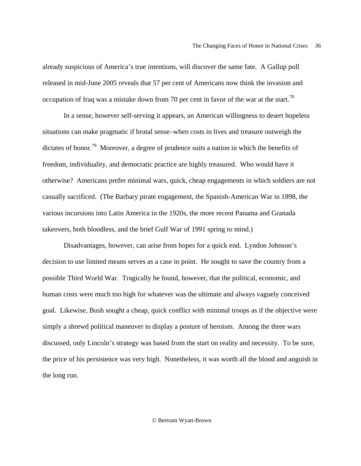already suspicious of America's true intentions, will discover the same fate. A Gallup poll released in mid-June 2005 reveals that 57 per cent of Americans now think the invasion and occupation of Iraq was a mistake down from 70 per cent in favor of the war at the start.<sup>78</sup>

 In a sense, however self-serving it appears, an American willingness to desert hopeless situations can make pragmatic if brutal sense–when costs in lives and treasure outweigh the dictates of honor.<sup>79</sup> Moreover, a degree of prudence suits a nation in which the benefits of freedom, individuality, and democratic practice are highly treasured. Who would have it otherwise? Americans prefer minimal wars, quick, cheap engagements in which soldiers are not casually sacrificed. (The Barbary pirate engagement, the Spanish-American War in 1898, the various incursions into Latin America in the 1920s, the more recent Panama and Granada takeovers, both bloodless, and the brief Gulf War of 1991 spring to mind.)

 Disadvantages, however, can arise from hopes for a quick end. Lyndon Johnson's decision to use limited means serves as a case in point. He sought to save the country from a possible Third World War. Tragically he found, however, that the political, economic, and human costs were much too high for whatever was the ultimate and always vaguely conceived goal. Likewise, Bush sought a cheap, quick conflict with minimal troops as if the objective were simply a shrewd political maneuver to display a posture of heroism. Among the three wars discussed, only Lincoln's strategy was based from the start on reality and necessity. To be sure, the price of his persistence was very high. Nonetheless, it was worth all the blood and anguish in the long run.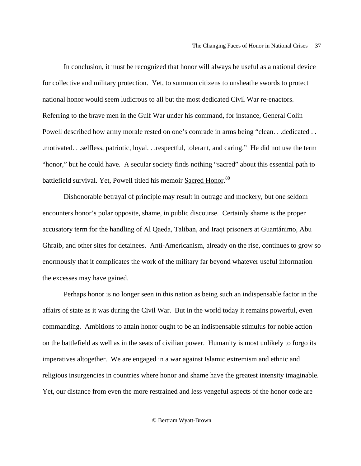In conclusion, it must be recognized that honor will always be useful as a national device for collective and military protection. Yet, to summon citizens to unsheathe swords to protect national honor would seem ludicrous to all but the most dedicated Civil War re-enactors. Referring to the brave men in the Gulf War under his command, for instance, General Colin Powell described how army morale rested on one's comrade in arms being "clean. . .dedicated . . .motivated. . .selfless, patriotic, loyal. . .respectful, tolerant, and caring." He did not use the term "honor," but he could have. A secular society finds nothing "sacred" about this essential path to battlefield survival. Yet, Powell titled his memoir **Sacred Honor.**<sup>80</sup>

 Dishonorable betrayal of principle may result in outrage and mockery, but one seldom encounters honor's polar opposite, shame, in public discourse. Certainly shame is the proper accusatory term for the handling of Al Qaeda, Taliban, and Iraqi prisoners at Guantánimo, Abu Ghraib, and other sites for detainees. Anti-Americanism, already on the rise, continues to grow so enormously that it complicates the work of the military far beyond whatever useful information the excesses may have gained.

 Perhaps honor is no longer seen in this nation as being such an indispensable factor in the affairs of state as it was during the Civil War. But in the world today it remains powerful, even commanding. Ambitions to attain honor ought to be an indispensable stimulus for noble action on the battlefield as well as in the seats of civilian power. Humanity is most unlikely to forgo its imperatives altogether. We are engaged in a war against Islamic extremism and ethnic and religious insurgencies in countries where honor and shame have the greatest intensity imaginable. Yet, our distance from even the more restrained and less vengeful aspects of the honor code are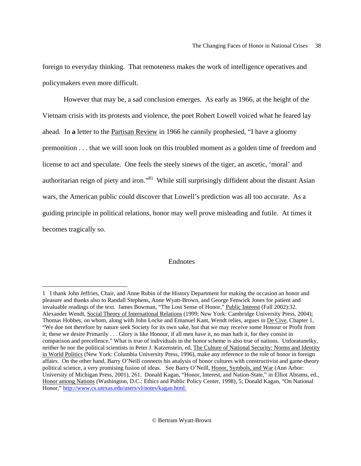foreign to everyday thinking. That remoteness makes the work of intelligence operatives and policymakers even more difficult.

 However that may be, a sad conclusion emerges. As early as 1966, at the height of the Vietnam crisis with its protests and violence, the poet Robert Lowell voiced what he feared lay ahead. In **a** letter to the Partisan Review in 1966 he cannily prophesied, "I have a gloomy premonition . . . that we will soon look on this troubled moment as a golden time of freedom and license to act and speculate. One feels the steely sinews of the tiger, an ascetic, 'moral' and authoritarian reign of piety and iron."<sup>81</sup> While still surprisingly diffident about the distant Asian wars, the American public could discover that Lowell's prediction was all too accurate. As a guiding principle in political relations, honor may well prove misleading and futile. At times it becomes tragically so.

## Endnotes

 $\overline{a}$ 

<sup>1</sup> I thank John Jeffries, Chair, and Anne Rubin of the History Department for making the occasion an honor and pleasure and thanks also to Randall Stephens, Anne Wyatt-Brown, and George Fenwick Jones for patient and invaluable readings of the text. James Bowman, "The Lost Sense of Honor," Public Interest (Fall 2002):32. Alexander Wendt, Social Theory of International Relations (1999; New York: Cambridge University Press, 2004); Thomas Hobbes, on whom, along with John Locke and Emanuel Kant, Wendt relies, argues in De Cive, Chapter 1, "We doe not therefore by nature seek Society for its own sake, but that we may receive some Honour or Profit from it; these we desire Primarily . . . Glory is like Honour, if all men have it, no man hath it, for they consist in comparison and precellence." What is true of individuals in the honor scheme is also true of nations. Unforatunelky, neither he nor the political scientists in Peter J. Katzenstein, ed, The Culture of National Security: Norms and Identity in World Politics (New York: Columbia University Press, 1996), make any reference to the role of honor in foreign affairs. On the other hand, Barry O'Neill connects his analysis of honor cultures with constructivist and game-theory political science, a very promising fusion of ideas. See Barry O'Neill, Honor, Symbols, and War (Ann Arbor: University of Michigan Press, 2001), 261. Donald Kagan, "Honor, Interest, and Nation-State," in Elliot Abrams, ed., Honor among Nations (Washington, D.C.: Ethics and Public Policy Center, 1998), 5; Donald Kagan, "On National Honor," http://www.cs.utexas.edu/users/vl/notes/kagan.html.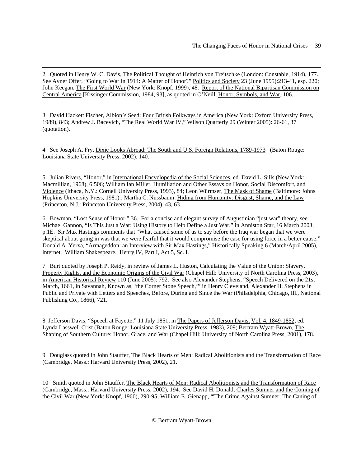2 Quoted in Henry W. C. Davis, The Political Thought of Heinrich von Treitschke (London: Constable, 1914), 177. See Avner Offer, "Going to War in 1914: A Matter of Honor?" Politics and Society 23 (June 1995):213-41, esp. 220; John Keegan, The First World War (New York: Knopf, 1999), 48. Report of the National Bipartisan Commission on Central America [Kissinger Commission, 1984, 93], as quoted in O'Neill, Honor, Symbols, and War, 106.

3 David Hackett Fischer, Albion's Seed: Four British Folkways in America (New York: Oxford University Press, 1989), 843; Andrew J. Bacevich, "The Real World War IV," Wilson Quarterly 29 (Winter 2005): 26-61, 37 (quotation).

4 See Joseph A. Fry, Dixie Looks Abroad: The South and U.S. Foreign Relations, 1789-1973 (Baton Rouge: Louisiana State University Press, 2002), 140.

5 Julian Rivers, "Honor," in International Encyclopedia of the Social Sciences, ed. David L. Sills (New York: Macmillian, 1968), 6:506; William Ian Miller, Humiliation and Other Essays on Honor, Social Discomfort, and Violence (Ithaca, N.Y.: Cornell University Press, 1993), 84; Leon Würmser, The Mask of Shame (Baltimore: Johns Hopkins University Press, 1981).; Martha C. Nussbaum, Hiding from Humanity: Disgust, Shame, and the Law (Princeton, N.J.: Princeton University Press, 2004), 43, 63.

6 Bowman, "Lost Sense of Honor," 36. For a concise and elegant survey of Augustinian "just war" theory, see Michael Gannon, "Is This Just a War: Using History to Help Define a Just War," in Anniston Star, 16 March 2003, p.1E. Sir Max Hastings comments that "What caused some of us to say before the Iraq war began that we were skeptical about going in was that we were fearful that it would compromise the case for using force in a better cause." Donald A. Yerxa, "Armageddon: an Interview with Sir Max Hastings," Historically Speaking 6 (March/April 2005), internet. William Shakespeare, Henry IV, Part I, Act 5, Sc. I.

7 Burt quoted by Joseph P. Reidy, in review of James L. Huston, Calculating the Value of the Union: Slavery, Property Rights, and the Economic Origins of the Civil War (Chapel Hill: University of North Carolina Press, 2003), in American Historical Review 110 (June 2005): 792. See also Alexander Stephens, "Speech Delivered on the 21st March, 1661, in Savannah, Known as, 'the Corner Stone Speech,'" in Henry Cleveland, Alexander H. Stephens in Public and Private with Letters and Speeches, Before, During and Since the War (Philadelphia, Chicago, Ill., National Publishing Co., 1866), 721.

8 Jefferson Davis, "Speech at Fayette," 11 July 1851, in The Papers of Jefferson Davis, Vol. 4, 1849-1852, ed. Lynda Lasswell Crist (Baton Rouge: Louisiana State University Press, 1983), 209; Bertram Wyatt-Brown, The Shaping of Southern Culture: Honor, Grace, and War (Chapel Hill: University of North Carolina Press, 2001), 178.

9 Douglass quoted in John Stauffer, The Black Hearts of Men: Radical Abolitionists and the Transformation of Race (Cambridge, Mass.: Harvard University Press, 2002), 21.

10 Smith quoted in John Stauffer, The Black Hearts of Men: Radical Abolitionists and the Transformation of Race (Cambridge, Mass.: Harvard University Press, 2002), 194. See David H. Donald, Charles Sumner and the Coming of the Civil War (New York: Knopf, 1960), 290-95; William E. Gienapp, "'The Crime Against Sumner: The Caning of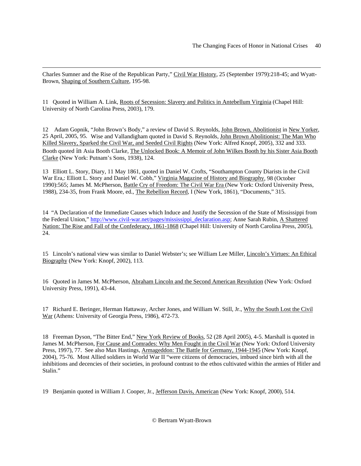Charles Sumner and the Rise of the Republican Party," Civil War History, 25 (September 1979):218-45; and Wyatt-Brown, Shaping of Southern Culture, 195-98.

11 Quoted in William A. Link, Roots of Secession: Slavery and Politics in Antebellum Virginia (Chapel Hill: University of North Carolina Press, 2003), 179.

12 Adam Gopnik, "John Brown's Body," a review of David S. Reynolds, John Brown, Abolitionist in New Yorker, 25 April, 2005, 95. Wise and Vallandigham quoted in David S. Reynolds, John Brown Abolitionist: The Man Who Killed Slavery, Sparked the Civil War, and Seeded Civil Rights (New York: Alfred Knopf, 2005), 332 and 333. Booth quoted in Asia Booth Clarke, The Unlocked Book: A Memoir of John Wilkes Booth by his Sister Asia Booth Clarke (New York: Putnam's Sons, 1938), 124.

13 Elliott L. Story, Diary, 11 May 1861, quoted in Daniel W. Crofts, "Southampton County Diarists in the Civil War Era,: Elliott L. Story and Daniel W. Cobb," Virginia Magazine of History and Biography, 98 (October 1990):565; James M. McPherson, Battle Cry of Freedom: The Civil War Era (New York: Oxford University Press, 1988), 234-35, from Frank Moore, ed., The Rebellion Record, I (New York, 1861), "Documents," 315.

14 "A Declaration of the Immediate Causes which Induce and Justify the Secession of the State of Mississippi from the Federal Union," http://www.civil-war.net/pages/mississippi\_declaration.asp; Anne Sarah Rubin, A Shattered Nation: The Rise and Fall of the Confederacy, 1861-1868 (Chapel Hill: University of North Carolina Press, 2005), 24.

15 Lincoln's national view was similar to Daniel Webster's; see William Lee Miller, Lincoln's Virtues: An Ethical Biography (New York: Knopf, 2002), 113.

16 Quoted in James M. McPherson, Abraham Lincoln and the Second American Revolution (New York: Oxford University Press, 1991), 43-44.

17 Richard E. Beringer, Herman Hattaway, Archer Jones, and William W. Still, Jr., Why the South Lost the Civil War (Athens: University of Georgia Press, 1986), 472-73.

18 Freeman Dyson, "The Bitter End," New York Review of Books, 52 (28 April 2005), 4-5. Marshall is quoted in James M. McPherson, For Cause and Comrades: Why Men Fought in the Civil War (New York: Oxford University Press, 1997), 77. See also Max Hastings, Armageddon: The Battle for Germany, 1944-1945 (New York: Knopf, 2004), 75-76. Most Allied soldiers in World War II "were citizens of democracies, imbued since birth with all the inhibitions and decencies of their societies, in profound contrast to the ethos cultivated within the armies of Hitler and Stalin."

19 Benjamin quoted in William J. Cooper, Jr., Jefferson Davis, American (New York: Knopf, 2000), 514.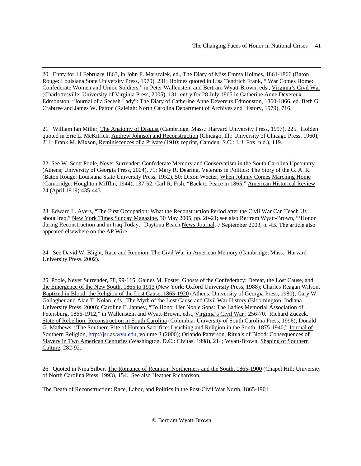20 Entry for 14 February 1863, in John F. Marszalek, ed., The Diary of Miss Emma Holmes, 1861-1866 (Baton Rouge: Louisiana State University Press, 1979), 231; Holmes quoted in Lisa Tendrich Frank, " War Comes Home: Confederate Women and Union Soldiers," in Peter Wallenstein and Bertram Wyatt-Brown, eds., Virginia's Civil War (Charlottesville: University of Virginia Press, 2005), 131; entry for 28 July 1865 in Catherine Anne Devereux Edmonston, "Journal of a Secesh Lady": The Diary of Catherine Anne Devereux Edmonston, 1860-1866, ed. Beth G. Crabtree and James W. Patton (Raleigh: North Carolina Department of Archives and History, 1979), 716.

21 William Ian Miller, The Anatomy of Disgust (Cambridge, Mass.: Harvard University Press, 1997), 225. Holden quoted in Eric L. McKitrick, Andrew Johnson and Reconstruction (Chicago, Ill.: University of Chicago Press, 1960), 211; Frank M. Mixson, Reminiscences of a Private (1910; reprint, Camden, S.C.: J. J. Fox, n.d.), 119.

22 See W. Scott Poole, Never Surrender: Confederate Memory and Conservatism in the South Carolina Upcountry (Athens; University of Georgia Press, 2004), 71; Mary R. Dearing, Veterans in Politics: The Story of the G. A. R. (Baton Rouge: Louisiana State University Press, 1952), 50; Dixon Wecter, When Johnny Comes Marching Home (Cambridge: Houghton Mifflin, 1944), 137-52; Carl R. Fish, "Back to Peace in 1865," American Historical Review 24 (April 1919):435-443.

23 Edward L. Ayers, "The First Occupation: What the Reconstruction Period after the Civil War Can Teach Us about Iraq," New York Times Sunday Magazine, 30 May 2005, pp. 20-21; see also Bertram Wyatt-Brown, "'Honor during Reconstruction and in Iraq Today," Daytona Beach News-Journal, 7 September 2003, p. 4B. The article also appeared elsewhere on the AP Wire.

24 See David W. Blight, Race and Reunion: The Civil War in American Memory (Cambridge, Mass.: Harvard University Press, 2002).

25 Poole, Never Surrender, 78, 99-115; Gaines M. Foster, Ghosts of the Confederacy: Defeat, the Lost Cause, and the Emergence of the New South, 1865 to 1913 (New York: Oxford University Press, 1988); Charles Reagan Wilson, Baptized in Blood: the Religion of the Lost Cause, 1865-1920 (Athens: University of Georgia Press, 1980); Gary W. Gallagher and Alan T. Nolan, eds., The Myth of the Lost Cause and Civil War History (Bloomington: Indiana University Press, 2000); Caroline E. Janney, "To Honor Her Noble Sons: The Ladies Memorial Association of Petersburg, 1866-1912," in Wallenstein and Wyatt-Brown, eds., Virginia's Civil War, 256-70. Richard Zuczek, State of Rebellion: Reconstruction in South Carolina (Columbia: University of South Carolina Press, 1996); Donald G. Mathews, "The Southern Rite of Human Sacrifice: Lynching and Religion in the South, 1875-1940," Journal of Southern Religion, http://jsr.as.wvu.edu, volume 3 (2000); Orlando Patterson, Rituals of Blood: Consequences of Slavery in Two American Centuries (Washington, D.C.: Civitas, 1998), 214; Wyatt-Brown, Shaping of Southern Culture, 282-92.

26 Quoted in Nina Silber, The Romance of Reunion: Northerners and the South, 1865-1900 (Chapel Hill: University of North Carolina Press, 1993), 154. See also Heather Richardson,

The Death of Reconstruction: Race, Labor, and Politics in the Post-Civil War North, 1865-1901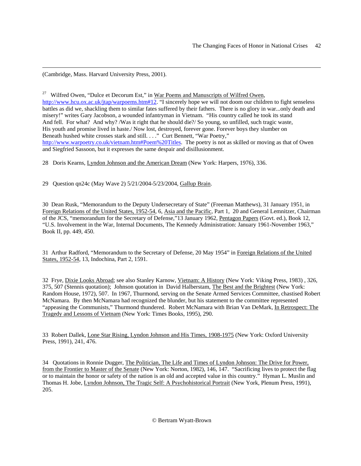(Cambridge, Mass. Harvard University Press, 2001).

<sup>27</sup> Wilfred Owen, "Dulce et Decorum Est," in War Poems and Manuscripts of Wilfred Owen, http://www.hcu.ox.ac.uk/jtap/warpoems.htm#12. "I sincerely hope we will not doom our children to fight senseless battles as did we, shackling them to similar fates suffered by their fathers. There is no glory in war...only death and misery!" writes Gary Jacobson, a wounded infantryman in Vietnam. "His country called he took its stand And fell. For what? And why? /Was it right that he should die?/ So young, so unfilled, such tragic waste, His youth and promise lived in haste./ Now lost, destroyed, forever gone. Forever boys they slumber on Beneath hushed white crosses stark and still. . . ." Curt Bennett, "War Poetry," http://www.warpoetry.co.uk/vietnam.htm#Poem%20Titles. The poetry is not as skilled or moving as that of Owen and Siegfried Sassoon, but it expresses the same despair and disillusionment.

28 Doris Kearns, Lyndon Johnson and the American Dream (New York: Harpers, 1976), 336.

29 Question qn24c (May Wave 2) 5/21/2004-5/23/2004, Gallup Brain.

30 Dean Rusk, "Memorandum to the Deputy Undersecretary of State" (Freeman Matthews), 31 January 1951, in Foreign Relations of the United States, 1952-54, 6, Asia and the Pacific, Part 1, 20 and General Lemnitzer, Chairman of the JCS, "memorandum for the Secretary of Defense,"13 January 1962, Pentagon Papers (Govt. ed.), Book 12, "U.S. Involvement in the War, Internal Documents, The Kennedy Administration: January 1961-November 1963," Book II, pp. 449, 450.

31 Arthur Radford, "Memorandum to the Secretary of Defense, 20 May 1954" in Foreign Relations of the United States, 1952-54, 13, Indochina, Part 2, 1591.

32 Frye, Dixie Looks Abroad; see also Stanley Karnow, Vietnam: A History (New York: Viking Press, 1983) , 326, 375, 507 (Stennis quotation); Johnson quotation in David Halberstam, The Best and the Brightest (New York: Random House, 1972), 507. In 1967, Thurmond, serving on the Senate Armed Services Committee, chastised Robert McNamara. By then McNamara had recognized the blunder, but his statement to the committee represented "appeasing the Communists," Thurmond thundered. Robert McNamara with Brian Van DeMark, In Retrospect: The Tragedy and Lessons of Vietnam (New York: Times Books, 1995), 290.

33 Robert Dallek, Lone Star Rising, Lyndon Johnson and His Times, 1908-1975 (New York: Oxford University Press, 1991), 241, 476.

34 Quotations in Ronnie Dugger, The Politician, The Life and Times of Lyndon Johnson: The Drive for Power, from the Frontier to Master of the Senate (New York: Norton, 1982), 146, 147. "Sacrificing lives to protect the flag or to maintain the honor or safety of the nation is an old and accepted value in this country." Hyman L. Muslin and Thomas H. Jobe, Lyndon Johnson, The Tragic Self: A Psychohistorical Portrait (New York, Plenum Press, 1991), 205.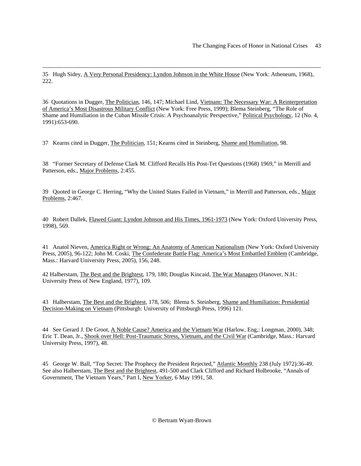35 Hugh Sidey, A Very Personal Presidency: Lyndon Johnson in the White House (New York: Atheneum, 1968), 222.

36 Quotations in Dugger, The Politician, 146, 147; Michael Lind, Vietnam: The Necessary War: A Reinterpretation of America's Most Disastrous Military Conflict (New York: Free Press, 1999); Blema Steinberg, "The Role of Shame and Humiliation in the Cuban Missile Crisis: A Psychoanalytic Perspective," Political Psychology, 12 (No. 4, 1991):653-690.

37 Kearns cited in Dugger, The Politician, 151; Kearns cited in Steinberg, Shame and Humiliation, 98.

38 "Former Secretary of Defense Clark M. Clifford Recalls His Post-Tet Questions (1968) 1969," in Merrill and Patterson, eds., Major Problems, 2:455.

39 Quoted in George C. Herring, "Why the United States Failed in Vietnam," in Merrill and Patterson, eds., Major Problems, 2:467.

40 Robert Dallek, Flawed Giant: Lyndon Johnson and His Times, 1961-1973 (New York: Oxford University Press, 1998), 569.

41 Anatol Nieven, America Right or Wrong: An Anatomy of American Nationalism (New York: Oxford University Press, 2005), 96-122; John M. Coski, The Confederate Battle Flag: America's Most Embattled Emblem (Cambridge, Mass.: Harvard University Press, 2005), 156, 248.

42 Halberstam, The Best and the Brightest, 179, 180; Douglas Kincaid, The War Managers (Hanover, N.H.: University Press of New England, 1977), 109.

43 Halberstam, The Best and the Brightest, 178, 506; Blema S. Steinberg, Shame and Humiliation: Presidential Decision-Making on Vietnam (Pittsburgh: University of Pittsburgh Press, 1996) 121.

44 See Gerard J. De Groot, A Noble Cause? America and the Vietnam War (Harlow, Eng,: Longman, 2000), 348; Eric T. Dean, Jr., Shook over Hell: Post-Traumatic Stress, Vietnam, and the Civil War (Cambridge, Mass.: Harvard University Press, 1997), 48.

45 George W. Ball, "Top Secret: The Prophecy the President Rejected," Atlantic Monthly 238 (July 1972):36-49. See also Halberstam, The Best and the Brightest, 491-500 and Clark Clifford and Richard Holbrooke, "Annals of Government, The Vietnam Years," Part I, New Yorker, 6 May 1991, 58.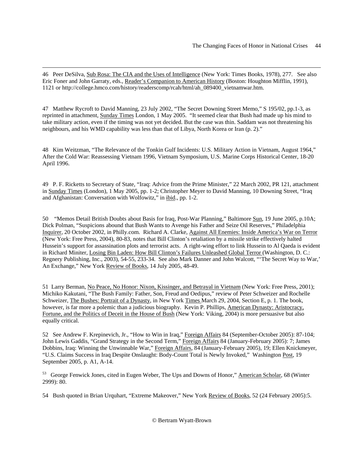46 Peer DeSilva, Sub Rosa: The CIA and the Uses of Intelligence (New York: Times Books, 1978), 277. See also Eric Foner and John Garraty, eds., Reader's Companion to American History (Boston: Houghton Mifflin, 1991), 1121 or http://college.hmco.com/history/readerscomp/rcah/html/ah\_089400\_vietnamwar.htm.

47 Matthew Rycroft to David Manning, 23 July 2002, "The Secret Downing Street Memo," S 195/02, pp.1-3, as reprinted in attachment, Sunday Times London, 1 May 2005. "It seemed clear that Bush had made up his mind to take military action, even if the timing was not yet decided. But the case was thin. Saddam was not threatening his neighbours, and his WMD capability was less than that of Libya, North Korea or Iran (p. 2)."

48 Kim Weitzman, "The Relevance of the Tonkin Gulf Incidents: U.S. Military Action in Vietnam, August 1964," After the Cold War: Reassessing Vietnam 1996, Vietnam Symposium, U.S. Marine Corps Historical Center, 18-20 April 1996.

49 P. F. Ricketts to Secretary of State, "Iraq: Advice from the Prime Minister," 22 March 2002, PR 121, attachment in Sunday Times (London), 1 May 2005, pp. 1-2; Christopher Meyer to David Manning, 10 Downing Street, "Iraq and Afghanistan: Conversation with Wolfowitz," in ibid., pp. 1-2.

50 "Memos Detail British Doubts about Basis for Iraq, Post-War Planning," Baltimore Sun, 19 June 2005, p.10A; Dick Polman, "Suspicions abound that Bush Wants to Avenge his Father and Seize Oil Reserves," Philadelphia Inquirer, 20 October 2002, in Philly.com. Richard A. Clarke, Against All Enemies: Inside America's War on Terror (New York: Free Press, 2004), 80-83, notes that Bill Clinton's retaliation by a missile strike effectively halted Hussein's support for assassination plots and terrorist acts. A right-wing effort to link Hussein to Al Qaeda is evident in Richard Miniter, Losing Bin Laden: How Bill Clinton's Failures Unleashed Global Terror (Washington, D. C.: Regnery Publishing, Inc., 2003), 54-55, 233-34. See also Mark Danner and John Walcott, "'The Secret Way to War,' An Exchange," New York Review of Books, 14 July 2005, 48-49.

51 Larry Berman, No Peace, No Honor: Nixon, Kissinger, and Betrayal in Vietnam (New York: Free Press, 2001); Michiko Kakutani, "The Bush Family: Father, Son, Freud and Oedipus," review of Peter Schweizer and Rochelle Schweizer, The Bushes: Portrait of a Dynasty, in New York Times March 29, 2004, Section E, p. 1. The book, however, is far more a polemic than a judicious biography. Kevin P. Phillips, American Dynasty: Aristocracy, Fortune, and the Politics of Deceit in the House of Bush (New York: Viking, 2004) is more persuasive but also equally critical.

52 See Andrew F. Krepinevich, Jr., "How to Win in Iraq," Foreign Affairs 84 (September-October 2005): 87-104; John Lewis Gaddis, "Grand Strategy in the Second Term," Foreign Affairs 84 (January-February 2005): 7; James Dobbins, Iraq: Winning the Unwinnable War," Foreign Affairs, 84 (January-February 2005), 19; Ellen Knickmeyer, "U.S. Claims Success in Iraq Despite Onslaught: Body-Count Total is Newly Invoked," Washington Post, 19 September 2005, p. A1, A-14.

<sup>53</sup> George Fenwick Jones, cited in Eugen Weber, The Ups and Downs of Honor," American Scholar, 68 (Winter 2999): 80.

54 Bush quoted in Brian Urquhart, "Extreme Makeover," New York Review of Books, 52 (24 February 2005):5.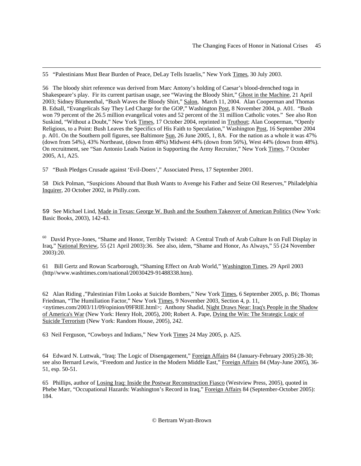55 "Palestinians Must Bear Burden of Peace, DeLay Tells Israelis," New York Times, 30 July 2003.

56 The bloody shirt reference was derived from Marc Antony's holding of Caesar's blood-drenched toga in Shakespeare's play. Fir its current partisan usage, see "Waving the Bloody Shirt," Ghost in the Machine, 21 April 2003; Sidney Blumenthal, "Bush Waves the Bloody Shirt," Salon, March 11, 2004. Alan Cooperman and Thomas B. Edsall, "Evangelicals Say They Led Charge for the GOP," Washington Post, 8 November 2004, p. A01. "Bush won 79 percent of the 26.5 million evangelical votes and 52 percent of the 31 million Catholic votes." See also Ron Suskind, "Without a Doubt," New York Times, 17 October 2004, reprinted in Truthout; Alan Cooperman, "Openly Religious, to a Point: Bush Leaves the Specifics of His Faith to Speculation," Washington Post, 16 September 2004 p. A01. On the Southern poll figures, see Baltimore Sun, 26 June 2005, 1, 8A. For the nation as a whole it was 47% (down from 54%), 43% Northeast, (down from 48%) Midwest 44% (down from 56%), West 44% (down from 48%). On recruitment, see "San Antonio Leads Nation in Supporting the Army Recruiter," New York Times, 7 October 2005, A1, A25.

57 "Bush Pledges Crusade against 'Evil-Doers'," Associated Press, 17 September 2001.

58 Dick Polman, "Suspicions Abound that Bush Wants to Avenge his Father and Seize Oil Reserves," Philadelphia Inquirer, 20 October 2002, in Philly.com.

59 See Michael Lind, Made in Texas: George W. Bush and the Southern Takeover of American Politics (New York: Basic Books, 2003), 142-43.

<sup>60</sup> David Pryce-Jones, "Shame and Honor, Terribly Twisted: A Central Truth of Arab Culture Is on Full Display in Iraq," National Review, 55 (21 April 2003):36. See also, idem, "Shame and Honor, As Always," 55 (24 November 2003):20.

61 Bill Gertz and Rowan Scarborough, "Shaming Effect on Arab World," Washington Times, 29 April 2003 (http//www.washtimes.com/national/20030429-91488338.htm).

62 Alan Riding ,"Palestinian Film Looks at Suicide Bombers," New York Times, 6 September 2005, p. B6; Thomas Friedman, "The Humiliation Factor," New York Times, 9 November 2003, Section 4, p. 11, <nytimes.com/2003/11/09/opinion/09FRIE.html>; Anthony Shadid, Night Draws Near: Iraq's People in the Shadow of America's War (New York: Henry Holt, 2005), 200; Robert A. Pape, Dying the Win: The Strategic Logic of Suicide Terrorism (New York: Random House, 2005), 242.

63 Neil Ferguson, "Cowboys and Indians," New York Times 24 May 2005, p. A25.

64 Edward N. Luttwak, "Iraq: The Logic of Disengagement," Foreign Affairs 84 (January-February 2005):28-30; see also Bernard Lewis, "Freedom and Justice in the Modern Middle East," Foreign Affairs 84 (May-June 2005), 36- 51, esp. 50-51.

65 Phillips, author of Losing Iraq: Inside the Postwar Reconstruction Fiasco (Westview Press, 2005), quoted in Phebe Marr, "Occupational Hazards: Washington's Record in Iraq," Foreign Affairs 84 (September-October 2005): 184.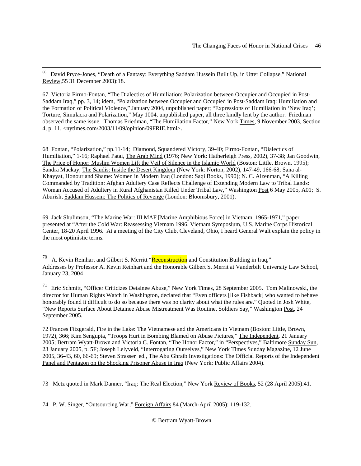<sup>66</sup> David Pryce-Jones, "Death of a Fantasy: Everything Saddam Hussein Built Up, in Utter Collapse," National Review,55 31 December 2003):18.

67 Victoria Firmo-Fontan, "The Dialectics of Humiliation: Polarization between Occupier and Occupied in Post-Saddam Iraq," pp. 3, 14; idem, "Polarization between Occupier and Occupied in Post-Saddam Iraq: Humiliation and the Formation of Political Violence," January 2004, unpublished paper; "Expressions of Humiliation in 'New Iraq'; Torture, Simulacra and Polarization," May 1004, unpublished paper, all three kindly lent by the author. Friedman observed the same issue. Thomas Friedman, "The Humiliation Factor," New York Times, 9 November 2003, Section 4, p. 11, <nytimes.com/2003/11/09/opinion/09FRIE.html>.

68 Fontan, "Polarization," pp.11-14; Diamond, Squandered Victory, 39-40; Firmo-Fontan, "Dialectics of Humiliation," 1-16; Raphael Patai, The Arab Mind (1976; New York: Hatherleigh Press, 2002), 37-38; Jan Goodwin, The Price of Honor: Muslim Women Lift the Veil of Silence in the Islamic World (Boston: Little, Brown, 1995); Sandra Mackay, The Saudis: Inside the Desert Kingdom (New York: Norton, 2002), 147-49, 166-68; Sana al-Khayyat, Honour and Shame: Women in Modern Iraq (London: Saqi Books, 1990); N. C. Aizenman, "A Killing Commanded by Tradition: Afghan Adultery Case Reflects Challenge of Extending Modern Law to Tribal Lands: Woman Accused of Adultery in Rural Afghanistan Killed Under Tribal Law," Washington Post 6 May 2005, A01; S. Aburish, Saddam Hussein: The Politics of Revenge (London: Bloomsbury, 2001).

69 Jack Shulimson, "The Marine War: III MAF [Marine Amphibious Force] in Vietnam, 1965-1971," paper presented at "After the Cold War: Reassessing Vietnam 1996, Vietnam Symposium, U.S. Marine Corps Historical Center, 18-20 April 1996. At a meeting of the City Club, Cleveland, Ohio, I heard General Walt explain the policy in the most optimistic terms.

A. Kevin Reinhart and Gilbert S. Merritt "Reconstruction and Constitution Building in Iraq," Addresses by Professor A. Kevin Reinhart and the Honorable Gilbert S. Merrit at Vanderbilt University Law School, January 23, 2004

Eric Schmitt, "Officer Criticizes Detainee Abuse," New York Times, 28 September 2005. Tom Malinowski, the director for Human Rights Watch in Washington, declared that "Even officers [like Fishback] who wanted to behave honorably found it difficult to do so because there was no clarity about what the rules are." Quoted in Josh White, "New Reports Surface About Detainee Abuse Mistreatment Was Routine, Soldiers Say," Washington Post, 24 September 2005.

72 Frances Fitzgerald, Fire in the Lake: The Vietnamese and the Americans in Vietnam (Boston: Little, Brown, 1972), 366; Kim Sengupta, "Troops Hurt in Bombing Blamed on Abuse Pictures," The Independent, 21 January 2005; Bertram Wyatt-Brown and Victoria C. Fontan, "The Honor Factor," in "Perspectives," Baltimore Sunday Sun, 23 January 2005, p. 5F; Joseph Lelyveld, "Interrogating Ourselves," New York Times Sunday Magazine, 12 June 2005, 36-43, 60, 66-69; Steven Strasser ed., The Abu Ghraib Investigations: The Official Reports of the Independent Panel and Pentagon on the Shocking Prisoner Abuse in Iraq (New York: Public Affairs 2004).

73 Metz quoted in Mark Danner, "Iraq: The Real Election," New York Review of Books, 52 (28 April 2005):41.

74 P. W. Singer, "Outsourcing War," Foreign Affairs 84 (March-April 2005): 119-132.